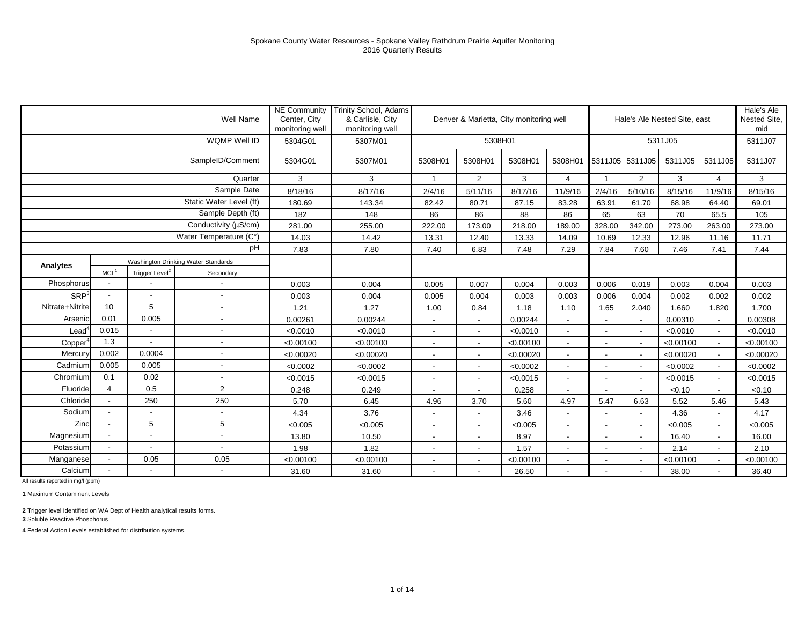|                  |                          |                            | Well Name                           | <b>NE Community</b><br>Center, City<br>monitoring well | <b>Trinity School, Adams</b><br>& Carlisle, City<br>monitoring well |                          | Denver & Marietta, City monitoring well |           |                          |                          |                          | Hale's Ale Nested Site, east |                          | Hale's Ale<br>Nested Site.<br>mid |
|------------------|--------------------------|----------------------------|-------------------------------------|--------------------------------------------------------|---------------------------------------------------------------------|--------------------------|-----------------------------------------|-----------|--------------------------|--------------------------|--------------------------|------------------------------|--------------------------|-----------------------------------|
|                  |                          |                            | WQMP Well ID                        | 5304G01                                                | 5307M01                                                             |                          | 5308H01                                 |           |                          |                          |                          | 5311J05                      |                          | 5311J07                           |
|                  |                          |                            | SampleID/Comment                    | 5304G01                                                | 5307M01                                                             | 5308H01                  | 5308H01                                 | 5308H01   | 5308H01                  | 5311J05 5311J05          |                          | 5311J05                      | 5311J05                  | 5311J07                           |
|                  |                          |                            | Quarter                             | 3                                                      | 3                                                                   | $\overline{\mathbf{1}}$  | $\overline{2}$                          | 3         | $\overline{4}$           | $\overline{1}$           | 2                        | 3                            | $\overline{4}$           | 3                                 |
|                  |                          |                            | Sample Date                         | 8/18/16                                                | 8/17/16                                                             | 2/4/16                   | 5/11/16                                 | 8/17/16   | 11/9/16                  | 2/4/16                   | 5/10/16                  | 8/15/16                      | 11/9/16                  | 8/15/16                           |
|                  |                          |                            | Static Water Level (ft)             | 180.69                                                 | 143.34                                                              | 82.42                    | 80.71                                   | 87.15     | 83.28                    | 63.91                    | 61.70                    | 68.98                        | 64.40                    | 69.01                             |
|                  |                          |                            | Sample Depth (ft)                   | 182                                                    | 148                                                                 | 86                       | 86                                      | 88        | 86                       | 65                       | 63                       | 70                           | 65.5                     | 105                               |
|                  |                          |                            | Conductivity ( $\mu$ S/cm)          | 281.00                                                 | 255.00                                                              | 222.00                   | 173.00                                  | 218.00    | 189.00                   | 328.00                   | 342.00                   | 273.00                       | 263.00                   | 273.00                            |
|                  |                          |                            | Water Temperature (C°)              | 14.03                                                  | 14.42                                                               | 13.31                    | 12.40                                   | 13.33     | 14.09                    | 10.69                    | 12.33                    | 12.96                        | 11.16                    | 11.71                             |
|                  |                          |                            | pH                                  | 7.83                                                   | 7.80                                                                | 7.40                     | 6.83                                    | 7.48      | 7.29                     | 7.84                     | 7.60                     | 7.46                         | 7.41                     | 7.44                              |
| Analytes         |                          |                            | Washington Drinking Water Standards |                                                        |                                                                     |                          |                                         |           |                          |                          |                          |                              |                          |                                   |
|                  | MCL <sup>1</sup>         | Trigger Level <sup>2</sup> | Secondary                           |                                                        |                                                                     |                          |                                         |           |                          |                          |                          |                              |                          |                                   |
| Phosphorus       |                          |                            | $\overline{\phantom{a}}$            | 0.003                                                  | 0.004                                                               | 0.005                    | 0.007                                   | 0.004     | 0.003                    | 0.006                    | 0.019                    | 0.003                        | 0.004                    | 0.003                             |
| SRP <sup>3</sup> | $\overline{a}$           |                            | $\blacksquare$                      | 0.003                                                  | 0.004                                                               | 0.005                    | 0.004                                   | 0.003     | 0.003                    | 0.006                    | 0.004                    | 0.002                        | 0.002                    | 0.002                             |
| Nitrate+Nitrite  | 10                       | 5                          | $\blacksquare$                      | 1.21                                                   | 1.27                                                                | 1.00                     | 0.84                                    | 1.18      | 1.10                     | 1.65                     | 2.040                    | 1.660                        | 1.820                    | 1.700                             |
| Arsenic          | 0.01                     | 0.005                      | $\blacksquare$                      | 0.00261                                                | 0.00244                                                             | $\sim$                   | $\overline{\phantom{a}}$                | 0.00244   | $\overline{\phantom{a}}$ | $\overline{\phantom{a}}$ |                          | 0.00310                      | $\overline{\phantom{a}}$ | 0.00308                           |
| Lead             | 0.015                    | $\overline{\phantom{a}}$   | $\blacksquare$                      | < 0.0010                                               | < 0.0010                                                            | $\overline{\phantom{a}}$ | $\overline{\phantom{a}}$                | < 0.0010  | $\sim$                   | $\overline{\phantom{a}}$ |                          | < 0.0010                     | $\mathbf{r}$             | < 0.0010                          |
| Copper           | 1.3                      |                            | $\blacksquare$                      | < 0.00100                                              | < 0.00100                                                           | $\overline{\phantom{a}}$ | $\overline{\phantom{a}}$                | < 0.00100 | $\overline{\phantom{a}}$ | $\blacksquare$           |                          | < 0.00100                    | $\blacksquare$           | < 0.00100                         |
| Mercury          | 0.002                    | 0.0004                     | $\blacksquare$                      | < 0.00020                                              | < 0.00020                                                           | $\overline{\phantom{a}}$ | $\overline{\phantom{a}}$                | < 0.00020 | $\blacksquare$           | $\blacksquare$           |                          | < 0.00020                    | $\blacksquare$           | < 0.00020                         |
| Cadmium          | 0.005                    | 0.005                      | $\blacksquare$                      | < 0.0002                                               | < 0.0002                                                            | $\blacksquare$           | $\overline{\phantom{0}}$                | < 0.0002  | $\sim$                   | $\blacksquare$           |                          | < 0.0002                     | $\sim$                   | < 0.0002                          |
| Chromium         | 0.1                      | 0.02                       | $\overline{\phantom{a}}$            | < 0.0015                                               | < 0.0015                                                            | $\blacksquare$           | ٠                                       | < 0.0015  | $\overline{\phantom{a}}$ | $\overline{\phantom{a}}$ | $\overline{\phantom{a}}$ | < 0.0015                     | $\sim$                   | < 0.0015                          |
| Fluoride         | $\overline{4}$           | 0.5                        | $\overline{2}$                      | 0.248                                                  | 0.249                                                               |                          |                                         | 0.258     |                          |                          |                          | < 0.10                       | $\blacksquare$           | < 0.10                            |
| Chloride         | $\overline{a}$           | 250                        | 250                                 | 5.70                                                   | 6.45                                                                | 4.96                     | 3.70                                    | 5.60      | 4.97                     | 5.47                     | 6.63                     | 5.52                         | 5.46                     | 5.43                              |
| Sodium           |                          |                            | $\overline{\phantom{a}}$            | 4.34                                                   | 3.76                                                                | $\overline{\phantom{a}}$ | $\overline{\phantom{a}}$                | 3.46      | $\overline{\phantom{a}}$ | $\overline{\phantom{a}}$ |                          | 4.36                         | $\blacksquare$           | 4.17                              |
| Zinc             |                          | 5                          | 5                                   | < 0.005                                                | < 0.005                                                             | $\overline{\phantom{a}}$ |                                         | < 0.005   |                          |                          |                          | < 0.005                      | $\overline{\phantom{a}}$ | < 0.005                           |
| Magnesium        | $\overline{\phantom{a}}$ |                            | $\blacksquare$                      | 13.80                                                  | 10.50                                                               | $\sim$                   | $\blacksquare$                          | 8.97      | $\overline{\phantom{a}}$ | $\overline{\phantom{a}}$ | $\overline{\phantom{a}}$ | 16.40                        | $\sim$                   | 16.00                             |
| Potassium        | $\overline{\phantom{a}}$ |                            | $\blacksquare$                      | 1.98                                                   | 1.82                                                                | $\overline{\phantom{a}}$ | $\blacksquare$                          | 1.57      | $\overline{\phantom{a}}$ | $\overline{\phantom{a}}$ |                          | 2.14                         | $\sim$                   | 2.10                              |
| Manganese        |                          | 0.05                       | 0.05                                | < 0.00100                                              | < 0.00100                                                           |                          |                                         | < 0.00100 |                          |                          |                          | < 0.00100                    | $\overline{\phantom{a}}$ | < 0.00100                         |
| Calcium          | L,                       |                            | $\overline{\phantom{a}}$            | 31.60                                                  | 31.60                                                               | $\overline{\phantom{a}}$ | $\overline{\phantom{0}}$                | 26.50     | $\overline{\phantom{a}}$ | $\blacksquare$           |                          | 38.00                        | $\overline{\phantom{a}}$ | 36.40                             |

**1** Maximum Contaminent Levels

**2** Trigger level identified on WA Dept of Health analytical results forms.

**3** Soluble Reactive Phosphorus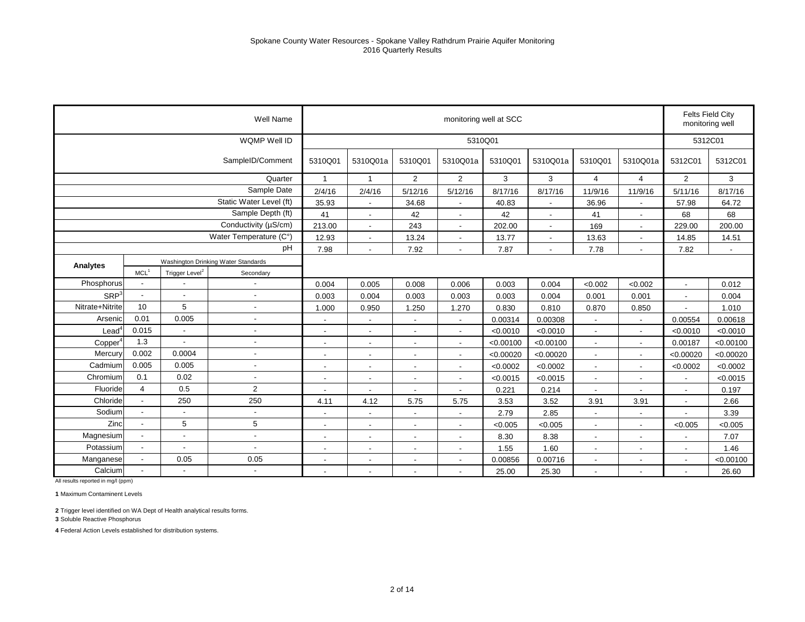|                  |                          |                            | Well Name                           |                          |                          |                          | monitoring well at SCC   |           |                          |                          |                          | monitoring well          | Felts Field City |
|------------------|--------------------------|----------------------------|-------------------------------------|--------------------------|--------------------------|--------------------------|--------------------------|-----------|--------------------------|--------------------------|--------------------------|--------------------------|------------------|
|                  |                          |                            | WQMP Well ID                        |                          |                          |                          | 5310Q01                  |           |                          |                          |                          | 5312C01                  |                  |
|                  |                          |                            | SampleID/Comment                    | 5310Q01                  | 5310Q01a                 | 5310Q01                  | 5310Q01a                 | 5310Q01   | 5310Q01a                 | 5310Q01                  | 5310Q01a                 | 5312C01                  | 5312C01          |
|                  |                          |                            | Quarter                             | 1                        | -1                       | $\overline{2}$           | $\overline{2}$           | 3         | 3                        | $\overline{4}$           | $\overline{4}$           | $\overline{2}$           | 3                |
|                  |                          |                            | Sample Date                         | 2/4/16                   | 2/4/16                   | 5/12/16                  | 5/12/16                  | 8/17/16   | 8/17/16                  | 11/9/16                  | 11/9/16                  | 5/11/16                  | 8/17/16          |
|                  |                          |                            | Static Water Level (ft)             | 35.93                    | $\blacksquare$           | 34.68                    | $\overline{\phantom{a}}$ | 40.83     | $\blacksquare$           | 36.96                    | $\overline{a}$           | 57.98                    | 64.72            |
|                  |                          |                            | Sample Depth (ft)                   | 41                       | $\blacksquare$           | 42                       | $\overline{\phantom{a}}$ | 42        | $\overline{\phantom{a}}$ | 41                       | $\overline{\phantom{a}}$ | 68                       | 68               |
|                  |                          |                            | Conductivity (µS/cm)                | 213.00                   | $\overline{a}$           | 243                      | $\overline{\phantom{a}}$ | 202.00    | $\blacksquare$           | 169                      | $\blacksquare$           | 229.00                   | 200.00           |
|                  |                          |                            | Water Temperature (C°)              | 12.93                    | ٠                        | 13.24                    | $\blacksquare$           | 13.77     | $\blacksquare$           | 13.63                    | $\blacksquare$           | 14.85                    | 14.51            |
|                  |                          |                            | pH                                  | 7.98                     |                          | 7.92                     | $\overline{a}$           | 7.87      | $\blacksquare$           | 7.78                     | $\blacksquare$           | 7.82                     | $\blacksquare$   |
| Analytes         |                          |                            | Washington Drinking Water Standards |                          |                          |                          |                          |           |                          |                          |                          |                          |                  |
|                  | MCL <sup>1</sup>         | Trigger Level <sup>2</sup> | Secondary                           |                          |                          |                          |                          |           |                          |                          |                          |                          |                  |
| Phosphorus       | $\overline{\phantom{a}}$ |                            |                                     | 0.004                    | 0.005                    | 0.008                    | 0.006                    | 0.003     | 0.004                    | < 0.002                  | <0.002                   | $\overline{a}$           | 0.012            |
| SRP <sup>3</sup> | $\blacksquare$           | $\blacksquare$             | $\overline{a}$                      | 0.003                    | 0.004                    | 0.003                    | 0.003                    | 0.003     | 0.004                    | 0.001                    | 0.001                    | $\overline{a}$           | 0.004            |
| Nitrate+Nitrite  | 10                       | 5                          | $\overline{a}$                      | 1.000                    | 0.950                    | 1.250                    | 1.270                    | 0.830     | 0.810                    | 0.870                    | 0.850                    | ÷,                       | 1.010            |
| Arsenic          | 0.01                     | 0.005                      |                                     | $\overline{\phantom{a}}$ |                          |                          | $\overline{\phantom{a}}$ | 0.00314   | 0.00308                  |                          | ۰                        | 0.00554                  | 0.00618          |
| Lead             | 0.015                    | $\blacksquare$             | ÷,                                  | $\overline{a}$           | $\overline{a}$           |                          | $\blacksquare$           | < 0.0010  | < 0.0010                 | $\overline{\phantom{a}}$ | $\overline{a}$           | < 0.0010                 | < 0.0010         |
| Copper           | 1.3                      | $\blacksquare$             | $\overline{a}$                      | $\overline{\phantom{a}}$ | $\blacksquare$           | $\overline{\phantom{a}}$ | $\overline{\phantom{a}}$ | < 0.00100 | < 0.00100                | $\overline{\phantom{a}}$ | $\blacksquare$           | 0.00187                  | < 0.00100        |
| Mercury          | 0.002                    | 0.0004                     | $\overline{a}$                      | $\overline{\phantom{a}}$ |                          |                          | $\blacksquare$           | < 0.00020 | < 0.00020                |                          | $\overline{\phantom{0}}$ | < 0.00020                | < 0.00020        |
| Cadmium          | 0.005                    | 0.005                      | $\overline{\phantom{a}}$            | $\overline{\phantom{a}}$ | $\overline{\phantom{a}}$ |                          | $\blacksquare$           | < 0.0002  | < 0.0002                 | $\overline{\phantom{a}}$ | $\blacksquare$           | < 0.0002                 | < 0.0002         |
| Chromium         | 0.1                      | 0.02                       | $\overline{a}$                      | $\overline{\phantom{a}}$ | $\blacksquare$           | $\overline{\phantom{a}}$ | $\overline{\phantom{a}}$ | < 0.0015  | < 0.0015                 |                          | $\overline{\phantom{a}}$ | $\blacksquare$           | < 0.0015         |
| Fluoride         | $\overline{4}$           | 0.5                        | 2                                   | $\overline{\phantom{a}}$ |                          |                          | $\overline{\phantom{a}}$ | 0.221     | 0.214                    |                          |                          |                          | 0.197            |
| Chloride         | $\overline{\phantom{a}}$ | 250                        | 250                                 | 4.11                     | 4.12                     | 5.75                     | 5.75                     | 3.53      | 3.52                     | 3.91                     | 3.91                     | $\blacksquare$           | 2.66             |
| Sodium           | $\overline{\phantom{a}}$ | $\blacksquare$             | $\overline{a}$                      | $\blacksquare$           | $\blacksquare$           | $\overline{\phantom{a}}$ | $\overline{\phantom{a}}$ | 2.79      | 2.85                     |                          | $\overline{\phantom{a}}$ |                          | 3.39             |
| Zinc             | $\overline{\phantom{a}}$ | 5                          | 5                                   | $\overline{\phantom{a}}$ |                          |                          | $\overline{\phantom{a}}$ | < 0.005   | < 0.005                  |                          | $\overline{\phantom{a}}$ | < 0.005                  | < 0.005          |
| Magnesium        | $\overline{\phantom{a}}$ | $\blacksquare$             | $\blacksquare$                      | $\blacksquare$           | $\overline{\phantom{a}}$ | $\overline{\phantom{a}}$ | $\overline{\phantom{a}}$ | 8.30      | 8.38                     | $\blacksquare$           | $\overline{\phantom{a}}$ | $\overline{a}$           | 7.07             |
| Potassium        | $\overline{\phantom{a}}$ | $\blacksquare$             | $\overline{a}$                      | $\overline{\phantom{a}}$ | $\overline{\phantom{a}}$ | $\overline{\phantom{a}}$ | $\overline{\phantom{a}}$ | 1.55      | 1.60                     | $\overline{\phantom{a}}$ | $\overline{\phantom{a}}$ | $\overline{\phantom{a}}$ | 1.46             |
| Manganese        | $\blacksquare$           | 0.05                       | 0.05                                | $\overline{\phantom{a}}$ |                          |                          | $\overline{\phantom{a}}$ | 0.00856   | 0.00716                  |                          |                          |                          | < 0.00100        |
| Calcium          | $\overline{\phantom{a}}$ | $\overline{\phantom{a}}$   | $\overline{\phantom{a}}$            | $\blacksquare$           | $\blacksquare$           |                          | $\blacksquare$           | 25.00     | 25.30                    | $\overline{\phantom{a}}$ | $\overline{\phantom{a}}$ | $\overline{a}$           | 26.60            |

**1** Maximum Contaminent Levels

**2** Trigger level identified on WA Dept of Health analytical results forms.

**3** Soluble Reactive Phosphorus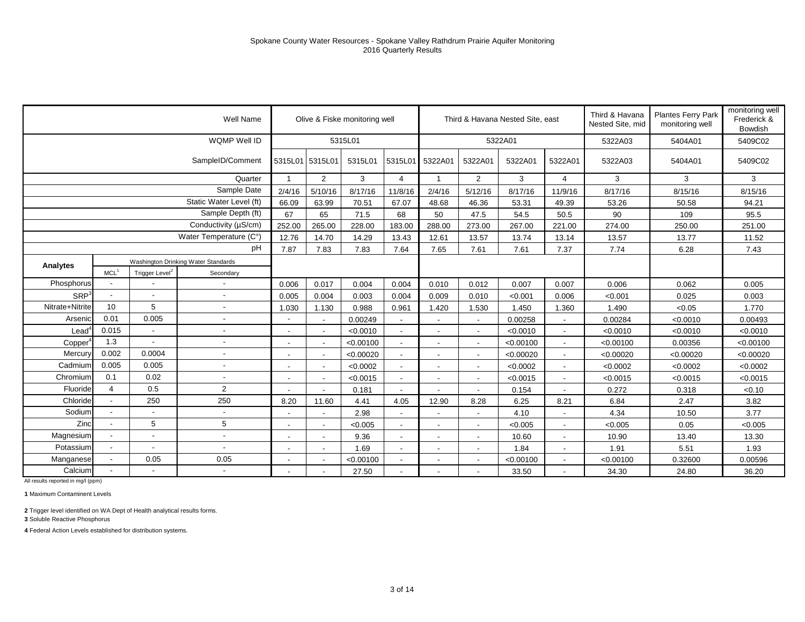|                  |                          |                            | Well Name                           |                          |                | Olive & Fiske monitoring well |                          |                |                          | Third & Havana Nested Site, east |                          | Third & Havana<br>Nested Site, mid | <b>Plantes Ferry Park</b><br>monitoring well | monitoring well<br>Frederick &<br><b>Bowdish</b> |
|------------------|--------------------------|----------------------------|-------------------------------------|--------------------------|----------------|-------------------------------|--------------------------|----------------|--------------------------|----------------------------------|--------------------------|------------------------------------|----------------------------------------------|--------------------------------------------------|
|                  |                          |                            | WQMP Well ID                        |                          |                | 5315L01                       |                          |                |                          | 5322A01                          |                          | 5322A03                            | 5404A01                                      | 5409C02                                          |
|                  |                          |                            | SampleID/Comment                    | 5315L01 5315L01          |                | 5315L01                       | 5315L01                  | 5322A01        | 5322A01                  | 5322A01                          | 5322A01                  | 5322A03                            | 5404A01                                      | 5409C02                                          |
|                  |                          |                            | Quarter                             | $\mathbf{1}$             | $\overline{2}$ | 3                             | 4                        | $\mathbf{1}$   | 2                        | 3                                | 4                        | 3                                  | 3                                            | 3                                                |
|                  |                          |                            | Sample Date                         | 2/4/16                   | 5/10/16        | 8/17/16                       | 11/8/16                  | 2/4/16         | 5/12/16                  | 8/17/16                          | 11/9/16                  | 8/17/16                            | 8/15/16                                      | 8/15/16                                          |
|                  |                          |                            | Static Water Level (ft)             | 66.09                    | 63.99          | 70.51                         | 67.07                    | 48.68          | 46.36                    | 53.31                            | 49.39                    | 53.26                              | 50.58                                        | 94.21                                            |
|                  |                          |                            | Sample Depth (ft)                   | 67                       | 65             | 71.5                          | 68                       | 50             | 47.5                     | 54.5                             | 50.5                     | 90                                 | 109                                          | 95.5                                             |
|                  |                          |                            | Conductivity (µS/cm)                | 252.00                   | 265.00         | 228.00                        | 183.00                   | 288.00         | 273.00                   | 267.00                           | 221.00                   | 274.00                             | 250.00                                       | 251.00                                           |
|                  |                          |                            | Water Temperature (C°)              | 12.76                    | 14.70          | 14.29                         | 13.43                    | 12.61          | 13.57                    | 13.74                            | 13.14                    | 13.57                              | 13.77                                        | 11.52                                            |
|                  |                          |                            | pH                                  | 7.87                     | 7.83           | 7.83                          | 7.64                     | 7.65           | 7.61                     | 7.61                             | 7.37                     | 7.74                               | 6.28                                         | 7.43                                             |
| Analytes         |                          |                            | Washington Drinking Water Standards |                          |                |                               |                          |                |                          |                                  |                          |                                    |                                              |                                                  |
|                  | MCL <sup>1</sup>         | Trigger Level <sup>2</sup> | Secondary                           |                          |                |                               |                          |                |                          |                                  |                          |                                    |                                              |                                                  |
| Phosphorus       |                          |                            |                                     | 0.006                    | 0.017          | 0.004                         | 0.004                    | 0.010          | 0.012                    | 0.007                            | 0.007                    | 0.006                              | 0.062                                        | 0.005                                            |
| SRP <sup>3</sup> |                          | $\blacksquare$             |                                     | 0.005                    | 0.004          | 0.003                         | 0.004                    | 0.009          | 0.010                    | < 0.001                          | 0.006                    | < 0.001                            | 0.025                                        | 0.003                                            |
| Nitrate+Nitrite  | 10                       | 5                          |                                     | 1.030                    | 1.130          | 0.988                         | 0.961                    | 1.420          | 1.530                    | 1.450                            | 1.360                    | 1.490                              | < 0.05                                       | 1.770                                            |
| Arsenic          | 0.01                     | 0.005                      |                                     | $\overline{\phantom{a}}$ |                | 0.00249                       | $\blacksquare$           |                | $\overline{\phantom{a}}$ | 0.00258                          |                          | 0.00284                            | < 0.0010                                     | 0.00493                                          |
| Lead             | 0.015                    | $\blacksquare$             |                                     |                          |                | < 0.0010                      | ٠                        |                | $\overline{a}$           | < 0.0010                         |                          | < 0.0010                           | < 0.0010                                     | < 0.0010                                         |
| Copper           | 1.3                      | $\blacksquare$             |                                     | $\blacksquare$           |                | < 0.00100                     | $\overline{\phantom{a}}$ |                | $\overline{\phantom{a}}$ | < 0.00100                        |                          | < 0.00100                          | 0.00356                                      | < 0.00100                                        |
| Mercury          | 0.002                    | 0.0004                     |                                     | $\overline{\phantom{a}}$ |                | < 0.00020                     |                          |                | $\overline{\phantom{a}}$ | < 0.00020                        |                          | < 0.00020                          | < 0.00020                                    | < 0.00020                                        |
| Cadmium          | 0.005                    | 0.005                      | $\overline{\phantom{a}}$            | $\blacksquare$           |                | < 0.0002                      | ٠                        |                | $\overline{a}$           | < 0.0002                         | $\sim$                   | < 0.0002                           | < 0.0002                                     | < 0.0002                                         |
| Chromium         | 0.1                      | 0.02                       |                                     | $\blacksquare$           |                | < 0.0015                      | $\overline{\phantom{a}}$ |                | $\overline{\phantom{a}}$ | < 0.0015                         |                          | < 0.0015                           | < 0.0015                                     | < 0.0015                                         |
| Fluoride         | $\overline{4}$           | 0.5                        | $\overline{2}$                      |                          |                | 0.181                         | $\overline{\phantom{a}}$ |                | $\overline{\phantom{a}}$ | 0.154                            |                          | 0.272                              | 0.318                                        | < 0.10                                           |
| Chloride         | $\overline{\phantom{a}}$ | 250                        | 250                                 | 8.20                     | 11.60          | 4.41                          | 4.05                     | 12.90          | 8.28                     | 6.25                             | 8.21                     | 6.84                               | 2.47                                         | 3.82                                             |
| Sodium           |                          | $\overline{\phantom{a}}$   |                                     | $\overline{\phantom{a}}$ |                | 2.98                          | $\blacksquare$           |                | $\blacksquare$           | 4.10                             |                          | 4.34                               | 10.50                                        | 3.77                                             |
| Zinc             |                          | 5                          | 5                                   | $\overline{\phantom{a}}$ |                | < 0.005                       | $\overline{\phantom{a}}$ |                | $\overline{\phantom{a}}$ | < 0.005                          |                          | < 0.005                            | 0.05                                         | < 0.005                                          |
| Magnesium        |                          | $\blacksquare$             | $\overline{\phantom{a}}$            | $\blacksquare$           |                | 9.36                          | $\blacksquare$           | $\blacksquare$ | $\blacksquare$           | 10.60                            | $\overline{\phantom{a}}$ | 10.90                              | 13.40                                        | 13.30                                            |
| Potassium        |                          | $\blacksquare$             |                                     | $\blacksquare$           |                | 1.69                          | $\overline{\phantom{a}}$ |                | $\blacksquare$           | 1.84                             |                          | 1.91                               | 5.51                                         | 1.93                                             |
| Manganese        |                          | 0.05                       | 0.05                                | $\overline{\phantom{a}}$ |                | < 0.00100                     | $\blacksquare$           |                | $\overline{\phantom{a}}$ | < 0.00100                        |                          | < 0.00100                          | 0.32600                                      | 0.00596                                          |
| Calcium          |                          |                            |                                     | $\overline{\phantom{a}}$ |                | 27.50                         | $\overline{\phantom{a}}$ |                | $\blacksquare$           | 33.50                            |                          | 34.30                              | 24.80                                        | 36.20                                            |

**1** Maximum Contaminent Levels

**2** Trigger level identified on WA Dept of Health analytical results forms.

**3** Soluble Reactive Phosphorus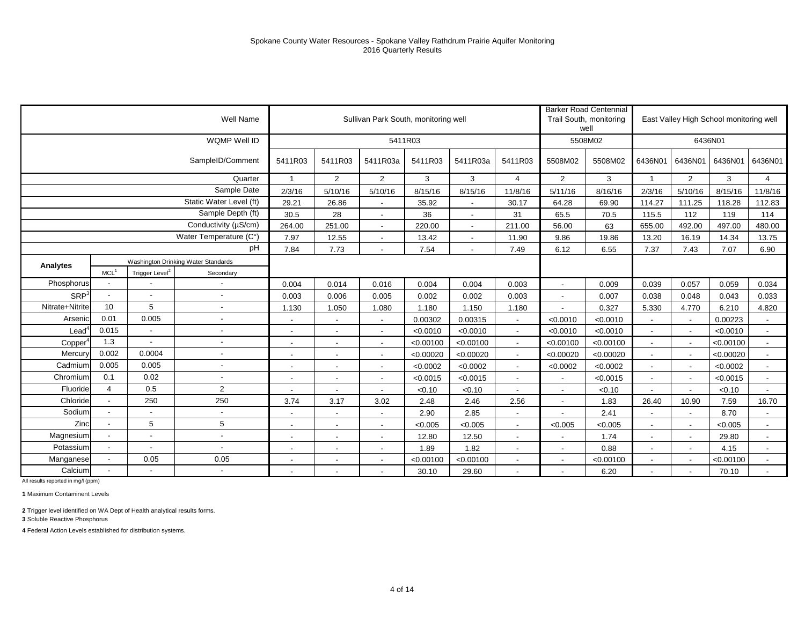|                  |                  |                            | Well Name                           |                          |                          | Sullivan Park South, monitoring well |           |                          |                          |                          | <b>Barker Road Centennial</b><br>Trail South, monitoring<br>well |                          |                          | East Valley High School monitoring well |                          |
|------------------|------------------|----------------------------|-------------------------------------|--------------------------|--------------------------|--------------------------------------|-----------|--------------------------|--------------------------|--------------------------|------------------------------------------------------------------|--------------------------|--------------------------|-----------------------------------------|--------------------------|
|                  |                  |                            | WQMP Well ID                        |                          |                          | 5411R03                              |           |                          |                          |                          | 5508M02                                                          |                          |                          | 6436N01                                 |                          |
|                  |                  |                            | SampleID/Comment                    | 5411R03                  | 5411R03                  | 5411R03a                             | 5411R03   | 5411R03a                 | 5411R03                  | 5508M02                  | 5508M02                                                          | 6436N01                  | 6436N01                  | 6436N01                                 | 6436N01                  |
|                  |                  |                            | Quarter                             |                          | $\overline{2}$           | $\overline{2}$                       | 3         | 3                        | $\overline{4}$           | $\overline{2}$           | 3                                                                |                          | 2                        | 3                                       | $\overline{4}$           |
|                  |                  |                            | Sample Date                         | 2/3/16                   | 5/10/16                  | 5/10/16                              | 8/15/16   | 8/15/16                  | 11/8/16                  | 5/11/16                  | 8/16/16                                                          | 2/3/16                   | 5/10/16                  | 8/15/16                                 | 11/8/16                  |
|                  |                  |                            | Static Water Level (ft)             | 29.21                    | 26.86                    |                                      | 35.92     | $\blacksquare$           | 30.17                    | 64.28                    | 69.90                                                            | 114.27                   | 111.25                   | 118.28                                  | 112.83                   |
|                  |                  |                            | Sample Depth (ft)                   | 30.5                     | 28                       | $\overline{\phantom{a}}$             | 36        | $\sim$                   | 31                       | 65.5                     | 70.5                                                             | 115.5                    | 112                      | 119                                     | 114                      |
|                  |                  |                            | Conductivity (µS/cm)                | 264.00                   | 251.00                   | $\sim$                               | 220.00    | $\overline{\phantom{a}}$ | 211.00                   | 56.00                    | 63                                                               | 655.00                   | 492.00                   | 497.00                                  | 480.00                   |
|                  |                  |                            | Water Temperature (C°)              | 7.97                     | 12.55                    | $\overline{\phantom{a}}$             | 13.42     | $\sim$                   | 11.90                    | 9.86                     | 19.86                                                            | 13.20                    | 16.19                    | 14.34                                   | 13.75                    |
|                  |                  |                            | pH                                  | 7.84                     | 7.73                     |                                      | 7.54      | $\overline{\phantom{a}}$ | 7.49                     | 6.12                     | 6.55                                                             | 7.37                     | 7.43                     | 7.07                                    | 6.90                     |
| Analytes         |                  |                            | Washington Drinking Water Standards |                          |                          |                                      |           |                          |                          |                          |                                                                  |                          |                          |                                         |                          |
|                  | MCL <sup>1</sup> | Trigger Level <sup>2</sup> | Secondary                           |                          |                          |                                      |           |                          |                          |                          |                                                                  |                          |                          |                                         |                          |
| Phosphorus       |                  |                            |                                     | 0.004                    | 0.014                    | 0.016                                | 0.004     | 0.004                    | 0.003                    | $\blacksquare$           | 0.009                                                            | 0.039                    | 0.057                    | 0.059                                   | 0.034                    |
| SRP <sup>3</sup> |                  | $\blacksquare$             | $\blacksquare$                      | 0.003                    | 0.006                    | 0.005                                | 0.002     | 0.002                    | 0.003                    | $\overline{a}$           | 0.007                                                            | 0.038                    | 0.048                    | 0.043                                   | 0.033                    |
| Nitrate+Nitrite  | 10               | 5                          | $\overline{\phantom{a}}$            | 1.130                    | 1.050                    | 1.080                                | 1.180     | 1.150                    | 1.180                    | $\overline{\phantom{a}}$ | 0.327                                                            | 5.330                    | 4.770                    | 6.210                                   | 4.820                    |
| Arsenic          | 0.01             | 0.005                      |                                     |                          |                          |                                      | 0.00302   | 0.00315                  |                          | < 0.0010                 | < 0.0010                                                         |                          | $\overline{\phantom{a}}$ | 0.00223                                 |                          |
| Lead             | 0.015            | $\overline{\phantom{a}}$   | $\blacksquare$                      |                          | $\overline{\phantom{a}}$ | $\overline{\phantom{a}}$             | < 0.0010  | < 0.0010                 | $\sim$                   | < 0.0010                 | < 0.0010                                                         | $\blacksquare$           | $\overline{\phantom{a}}$ | < 0.0010                                | $\sim$                   |
| Copper           | 1.3              |                            | $\overline{\phantom{a}}$            | $\overline{\phantom{a}}$ | $\overline{\phantom{a}}$ | $\overline{\phantom{a}}$             | < 0.00100 | < 0.00100                | $\overline{\phantom{a}}$ | < 0.00100                | < 0.00100                                                        | $\blacksquare$           | $\overline{\phantom{a}}$ | < 0.00100                               | $\blacksquare$           |
| Mercury          | 0.002            | 0.0004                     | $\overline{\phantom{a}}$            | $\overline{\phantom{a}}$ |                          |                                      | < 0.00020 | < 0.00020                |                          | < 0.00020                | < 0.00020                                                        |                          |                          | < 0.00020                               |                          |
| Cadmium          | 0.005            | 0.005                      | $\blacksquare$                      | $\overline{\phantom{a}}$ | $\blacksquare$           | $\overline{\phantom{a}}$             | < 0.0002  | < 0.0002                 | $\sim$                   | < 0.0002                 | < 0.0002                                                         | $\overline{\phantom{a}}$ | $\blacksquare$           | < 0.0002                                | $\sim$                   |
| Chromium         | 0.1              | 0.02                       |                                     | $\overline{\phantom{a}}$ | ٠                        | $\sim$                               | < 0.0015  | < 0.0015                 |                          | $\overline{\phantom{a}}$ | < 0.0015                                                         | $\blacksquare$           | $\overline{\phantom{a}}$ | < 0.0015                                | $\overline{\phantom{a}}$ |
| Fluoride         | 4                | 0.5                        | 2                                   |                          | $\blacksquare$           |                                      | < 0.10    | < 0.10                   |                          |                          | < 0.10                                                           |                          |                          | < 0.10                                  |                          |
| Chloride         |                  | 250                        | 250                                 | 3.74                     | 3.17                     | 3.02                                 | 2.48      | 2.46                     | 2.56                     | $\blacksquare$           | 1.83                                                             | 26.40                    | 10.90                    | 7.59                                    | 16.70                    |
| Sodium           |                  |                            | $\overline{\phantom{a}}$            | $\overline{\phantom{a}}$ | $\blacksquare$           | $\sim$                               | 2.90      | 2.85                     | $\overline{\phantom{a}}$ |                          | 2.41                                                             |                          |                          | 8.70                                    | $\blacksquare$           |
| Zinc             |                  | 5                          | 5                                   |                          | $\overline{\phantom{a}}$ |                                      | < 0.005   | < 0.005                  |                          | < 0.005                  | < 0.005                                                          |                          |                          | < 0.005                                 |                          |
| Magnesium        |                  | $\overline{\phantom{a}}$   | $\overline{\phantom{a}}$            | $\overline{\phantom{a}}$ | $\blacksquare$           | $\overline{\phantom{a}}$             | 12.80     | 12.50                    |                          | ٠                        | 1.74                                                             | $\blacksquare$           | $\blacksquare$           | 29.80                                   | $\overline{\phantom{a}}$ |
| Potassium        |                  |                            | $\overline{\phantom{a}}$            | $\overline{\phantom{a}}$ | $\blacksquare$           | $\overline{\phantom{a}}$             | 1.89      | 1.82                     | $\overline{\phantom{a}}$ | $\blacksquare$           | 0.88                                                             | $\overline{\phantom{a}}$ | $\blacksquare$           | 4.15                                    | $\blacksquare$           |
| Manganese        |                  | 0.05                       | 0.05                                |                          | $\blacksquare$           |                                      | < 0.00100 | < 0.00100                |                          |                          | < 0.00100                                                        |                          |                          | < 0.00100                               |                          |
| Calcium          |                  |                            | $\blacksquare$                      | $\overline{\phantom{a}}$ | $\overline{\phantom{a}}$ |                                      | 30.10     | 29.60                    |                          | $\overline{\phantom{a}}$ | 6.20                                                             |                          |                          | 70.10                                   | $\sim$                   |

**1** Maximum Contaminent Levels

**2** Trigger level identified on WA Dept of Health analytical results forms.

**3** Soluble Reactive Phosphorus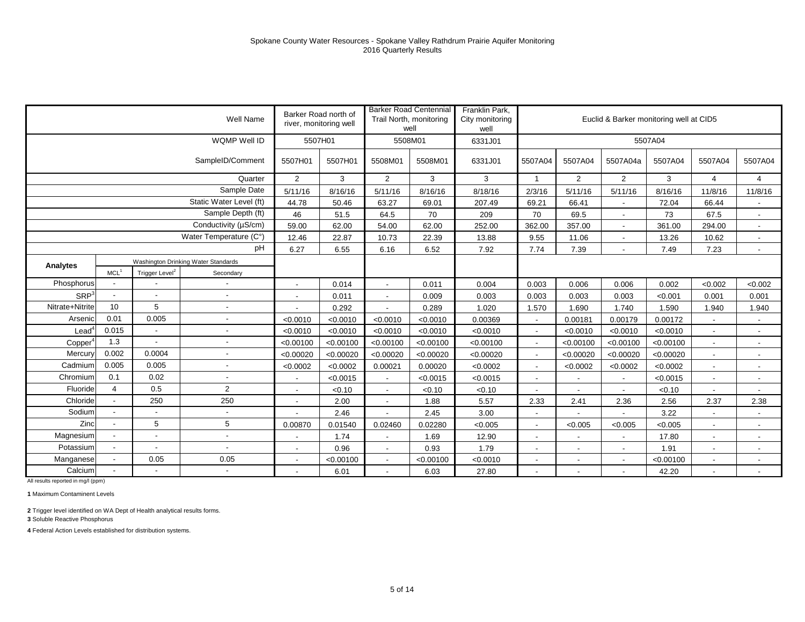|                      |                          |                            | Well Name                           | Barker Road north of     | river, monitoring well |                          | <b>Barker Road Centennial</b><br>Trail North, monitoring<br>well | Franklin Park,<br>City monitoring<br>well |                          |                | Euclid & Barker monitoring well at CID5 |           |                          |                          |
|----------------------|--------------------------|----------------------------|-------------------------------------|--------------------------|------------------------|--------------------------|------------------------------------------------------------------|-------------------------------------------|--------------------------|----------------|-----------------------------------------|-----------|--------------------------|--------------------------|
|                      |                          |                            | WQMP Well ID                        | 5507H01                  |                        |                          | 5508M01                                                          | 6331J01                                   |                          |                |                                         | 5507A04   |                          |                          |
|                      |                          |                            | SampleID/Comment                    | 5507H01                  | 5507H01                | 5508M01                  | 5508M01                                                          | 6331J01                                   | 5507A04                  | 5507A04        | 5507A04a                                | 5507A04   | 5507A04                  | 5507A04                  |
|                      |                          |                            | Quarter                             | $\overline{2}$           | 3                      | 2                        | 3                                                                | 3                                         | $\overline{1}$           | $\overline{2}$ | $\overline{2}$                          | 3         | 4                        | $\overline{4}$           |
|                      |                          |                            | Sample Date                         | 5/11/16                  | 8/16/16                | 5/11/16                  | 8/16/16                                                          | 8/18/16                                   | 2/3/16                   | 5/11/16        | 5/11/16                                 | 8/16/16   | 11/8/16                  | 11/8/16                  |
|                      |                          |                            | Static Water Level (ft)             | 44.78                    | 50.46                  | 63.27                    | 69.01                                                            | 207.49                                    | 69.21                    | 66.41          | $\overline{\phantom{a}}$                | 72.04     | 66.44                    | $\overline{\phantom{a}}$ |
|                      |                          |                            | Sample Depth (ft)                   | 46                       | 51.5                   | 64.5                     | 70                                                               | 209                                       | 70                       | 69.5           | $\blacksquare$                          | 73        | 67.5                     | $\overline{\phantom{a}}$ |
|                      |                          |                            | Conductivity (µS/cm)                | 59.00                    | 62.00                  | 54.00                    | 62.00                                                            | 252.00                                    | 362.00                   | 357.00         | $\sim$                                  | 361.00    | 294.00                   | $\overline{\phantom{a}}$ |
|                      |                          |                            | Water Temperature (C°)              | 12.46                    | 22.87                  | 10.73                    | 22.39                                                            | 13.88                                     | 9.55                     | 11.06          | $\overline{\phantom{a}}$                | 13.26     | 10.62                    | $\overline{\phantom{a}}$ |
|                      |                          |                            | pH                                  | 6.27                     | 6.55                   | 6.16                     | 6.52                                                             | 7.92                                      | 7.74                     | 7.39           |                                         | 7.49      | 7.23                     | $\blacksquare$           |
| Analytes             |                          |                            | Washington Drinking Water Standards |                          |                        |                          |                                                                  |                                           |                          |                |                                         |           |                          |                          |
|                      | MCL <sup>1</sup>         | Trigger Level <sup>2</sup> | Secondary                           |                          |                        |                          |                                                                  |                                           |                          |                |                                         |           |                          |                          |
| Phosphorus           |                          |                            |                                     |                          | 0.014                  |                          | 0.011                                                            | 0.004                                     | 0.003                    | 0.006          | 0.006                                   | 0.002     | < 0.002                  | < 0.002                  |
| SRP <sup>3</sup>     | $\overline{\phantom{a}}$ |                            | $\overline{\phantom{a}}$            | $\overline{a}$           | 0.011                  | $\blacksquare$           | 0.009                                                            | 0.003                                     | 0.003                    | 0.003          | 0.003                                   | < 0.001   | 0.001                    | 0.001                    |
| Nitrate+Nitrite      | 10                       | 5                          |                                     |                          | 0.292                  |                          | 0.289                                                            | 1.020                                     | 1.570                    | 1.690          | 1.740                                   | 1.590     | 1.940                    | 1.940                    |
| Arsenic              | 0.01                     | 0.005                      |                                     | < 0.0010                 | < 0.0010               | < 0.0010                 | < 0.0010                                                         | 0.00369                                   | $\overline{\phantom{a}}$ | 0.00181        | 0.00179                                 | 0.00172   |                          | $\overline{\phantom{a}}$ |
| $L$ ead <sup>4</sup> | 0.015                    | $\sim$                     | $\blacksquare$                      | < 0.0010                 | < 0.0010               | < 0.0010                 | < 0.0010                                                         | < 0.0010                                  | $\blacksquare$           | < 0.0010       | < 0.0010                                | < 0.0010  | $\overline{\phantom{a}}$ | $\overline{\phantom{a}}$ |
| Copper               | 1.3                      |                            |                                     | < 0.00100                | < 0.00100              | < 0.00100                | < 0.00100                                                        | < 0.00100                                 | $\blacksquare$           | < 0.00100      | < 0.00100                               | < 0.00100 | $\blacksquare$           | $\overline{\phantom{a}}$ |
| Mercury              | 0.002                    | 0.0004                     |                                     | < 0.00020                | < 0.00020              | < 0.00020                | < 0.00020                                                        | < 0.00020                                 | $\blacksquare$           | < 0.00020      | < 0.00020                               | < 0.00020 | $\blacksquare$           | $\blacksquare$           |
| Cadmium              | 0.005                    | 0.005                      | $\sim$                              | < 0.0002                 | < 0.0002               | 0.00021                  | 0.00020                                                          | < 0.0002                                  | $\blacksquare$           | < 0.0002       | < 0.0002                                | < 0.0002  | $\blacksquare$           | $\overline{\phantom{a}}$ |
| Chromium             | 0.1                      | 0.02                       |                                     | $\overline{\phantom{a}}$ | < 0.0015               | $\sim$                   | < 0.0015                                                         | < 0.0015                                  | $\overline{\phantom{a}}$ |                | $\overline{\phantom{a}}$                | < 0.0015  | $\blacksquare$           | $\overline{\phantom{a}}$ |
| Fluoride             | $\overline{4}$           | 0.5                        | $\overline{2}$                      |                          | < 0.10                 |                          | < 0.10                                                           | < 0.10                                    | $\overline{a}$           |                |                                         | < 0.10    |                          |                          |
| Chloride             | $\blacksquare$           | 250                        | 250                                 | $\overline{\phantom{a}}$ | 2.00                   | $\overline{\phantom{a}}$ | 1.88                                                             | 5.57                                      | 2.33                     | 2.41           | 2.36                                    | 2.56      | 2.37                     | 2.38                     |
| Sodium               |                          |                            |                                     |                          | 2.46                   |                          | 2.45                                                             | 3.00                                      | $\blacksquare$           |                |                                         | 3.22      | $\blacksquare$           | $\overline{\phantom{a}}$ |
| Zinc                 |                          | 5                          | 5                                   | 0.00870                  | 0.01540                | 0.02460                  | 0.02280                                                          | < 0.005                                   | $\overline{\phantom{a}}$ | < 0.005        | < 0.005                                 | < 0.005   | $\overline{\phantom{a}}$ | $\overline{\phantom{a}}$ |
| Magnesium            |                          |                            | $\overline{\phantom{a}}$            | $\overline{\phantom{a}}$ | 1.74                   | $\overline{\phantom{a}}$ | 1.69                                                             | 12.90                                     | $\overline{\phantom{a}}$ |                | $\overline{\phantom{a}}$                | 17.80     | $\overline{\phantom{a}}$ | $\overline{\phantom{a}}$ |
| Potassium            |                          |                            |                                     | $\overline{\phantom{a}}$ | 0.96                   | $\overline{\phantom{a}}$ | 0.93                                                             | 1.79                                      | $\overline{\phantom{a}}$ |                | $\overline{\phantom{a}}$                | 1.91      | $\blacksquare$           | $\overline{\phantom{a}}$ |
| Manganese            |                          | 0.05                       | 0.05                                |                          | < 0.00100              |                          | < 0.00100                                                        | < 0.0010                                  | $\blacksquare$           |                | $\blacksquare$                          | < 0.00100 | $\blacksquare$           | $\blacksquare$           |
| Calcium              |                          |                            |                                     | $\overline{\phantom{a}}$ | 6.01                   | $\overline{\phantom{a}}$ | 6.03                                                             | 27.80                                     | $\blacksquare$           |                | $\overline{\phantom{a}}$                | 42.20     | $\blacksquare$           | $\blacksquare$           |

**1** Maximum Contaminent Levels

**2** Trigger level identified on WA Dept of Health analytical results forms.

**3** Soluble Reactive Phosphorus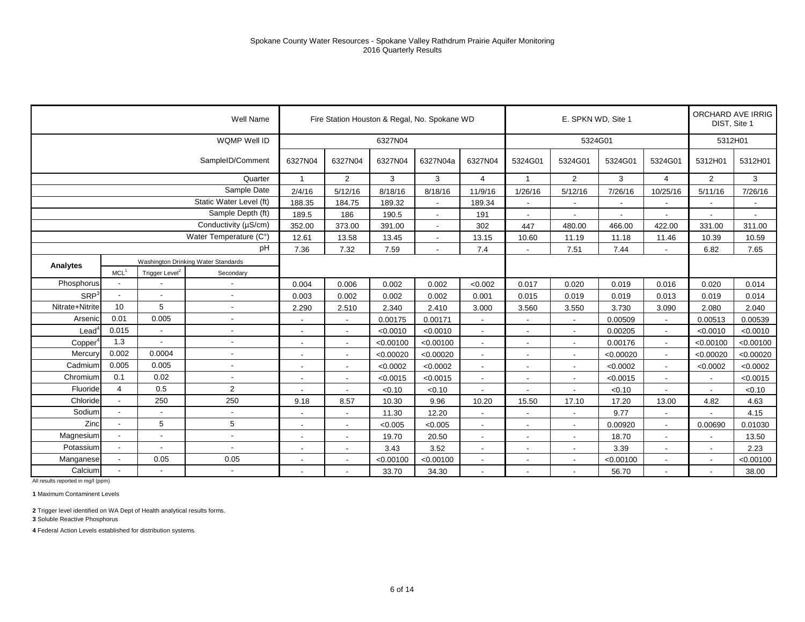|                     |                          |                            | Well Name                           |                          |                          |           | Fire Station Houston & Regal, No. Spokane WD |                          |                          | E. SPKN WD, Site 1       |           |                          | ORCHARD AVE IRRIG<br>DIST, Site 1 |           |
|---------------------|--------------------------|----------------------------|-------------------------------------|--------------------------|--------------------------|-----------|----------------------------------------------|--------------------------|--------------------------|--------------------------|-----------|--------------------------|-----------------------------------|-----------|
|                     |                          |                            | WQMP Well ID                        |                          |                          | 6327N04   |                                              |                          |                          | 5324G01                  |           |                          | 5312H01                           |           |
|                     |                          |                            | SampleID/Comment                    | 6327N04                  | 6327N04                  | 6327N04   | 6327N04a                                     | 6327N04                  | 5324G01                  | 5324G01                  | 5324G01   | 5324G01                  | 5312H01                           | 5312H01   |
|                     |                          |                            | Quarter                             | $\mathbf{1}$             | $\overline{2}$           | 3         | 3                                            | 4                        | -1                       | $\overline{2}$           | 3         | 4                        | $\overline{2}$                    | 3         |
|                     |                          |                            | Sample Date                         | 2/4/16                   | 5/12/16                  | 8/18/16   | 8/18/16                                      | 11/9/16                  | 1/26/16                  | 5/12/16                  | 7/26/16   | 10/25/16                 | 5/11/16                           | 7/26/16   |
|                     |                          |                            | Static Water Level (ft)             | 188.35                   | 184.75                   | 189.32    | $\blacksquare$                               | 189.34                   |                          | $\overline{\phantom{a}}$ | $\sim$    |                          | $\blacksquare$                    |           |
|                     |                          |                            | Sample Depth (ft)                   | 189.5                    | 186                      | 190.5     | $\overline{\phantom{a}}$                     | 191                      |                          | $\overline{\phantom{a}}$ |           |                          |                                   |           |
|                     |                          |                            | Conductivity (µS/cm)                | 352.00                   | 373.00                   | 391.00    | $\sim$                                       | 302                      | 447                      | 480.00                   | 466.00    | 422.00                   | 331.00                            | 311.00    |
|                     |                          |                            | Water Temperature (C°)              | 12.61                    | 13.58                    | 13.45     | $\blacksquare$                               | 13.15                    | 10.60                    | 11.19                    | 11.18     | 11.46                    | 10.39                             | 10.59     |
|                     |                          |                            | pH                                  | 7.36                     | 7.32                     | 7.59      |                                              | 7.4                      |                          | 7.51                     | 7.44      |                          | 6.82                              | 7.65      |
| Analytes            |                          |                            | Washington Drinking Water Standards |                          |                          |           |                                              |                          |                          |                          |           |                          |                                   |           |
|                     | MCL <sup>1</sup>         | Trigger Level <sup>2</sup> | Secondary                           |                          |                          |           |                                              |                          |                          |                          |           |                          |                                   |           |
| Phosphorus          |                          |                            | $\blacksquare$                      | 0.004                    | 0.006                    | 0.002     | 0.002                                        | < 0.002                  | 0.017                    | 0.020                    | 0.019     | 0.016                    | 0.020                             | 0.014     |
| SRP <sup>3</sup>    | $\blacksquare$           | $\sim$                     | $\overline{\phantom{a}}$            | 0.003                    | 0.002                    | 0.002     | 0.002                                        | 0.001                    | 0.015                    | 0.019                    | 0.019     | 0.013                    | 0.019                             | 0.014     |
| Nitrate+Nitrite     | 10                       | 5                          | $\blacksquare$                      | 2.290                    | 2.510                    | 2.340     | 2.410                                        | 3.000                    | 3.560                    | 3.550                    | 3.730     | 3.090                    | 2.080                             | 2.040     |
| Arsenic             | 0.01                     | 0.005                      | $\overline{a}$                      | $\overline{a}$           | $\overline{\phantom{a}}$ | 0.00175   | 0.00171                                      | $\overline{\phantom{a}}$ |                          | $\blacksquare$           | 0.00509   |                          | 0.00513                           | 0.00539   |
| $\text{Lead}^4$     | 0.015                    |                            | $\overline{\phantom{a}}$            | $\blacksquare$           | $\blacksquare$           | < 0.0010  | < 0.0010                                     | $\blacksquare$           | $\blacksquare$           | $\overline{\phantom{a}}$ | 0.00205   | $\overline{\phantom{a}}$ | < 0.0010                          | < 0.0010  |
| Copper <sup>4</sup> | 1.3                      |                            | $\blacksquare$                      | $\overline{\phantom{a}}$ | $\blacksquare$           | < 0.00100 | < 0.00100                                    | $\blacksquare$           |                          | $\blacksquare$           | 0.00176   |                          | < 0.00100                         | < 0.00100 |
| Mercury             | 0.002                    | 0.0004                     | $\overline{a}$                      | $\overline{\phantom{a}}$ | $\blacksquare$           | < 0.00020 | < 0.00020                                    | $\overline{a}$           |                          | $\overline{\phantom{a}}$ | < 0.00020 |                          | < 0.00020                         | < 0.00020 |
| Cadmium             | 0.005                    | 0.005                      | $\overline{\phantom{a}}$            | $\overline{\phantom{a}}$ | $\overline{\phantom{a}}$ | < 0.0002  | < 0.0002                                     | $\overline{\phantom{a}}$ | $\overline{\phantom{a}}$ | $\overline{\phantom{a}}$ | < 0.0002  | $\sim$                   | < 0.0002                          | < 0.0002  |
| Chromium            | 0.1                      | 0.02                       | $\blacksquare$                      | $\overline{\phantom{a}}$ | $\overline{\phantom{a}}$ | < 0.0015  | < 0.0015                                     | $\blacksquare$           |                          | $\overline{\phantom{a}}$ | < 0.0015  |                          |                                   | < 0.0015  |
| Fluoride            | $\overline{4}$           | 0.5                        | 2                                   | $\overline{a}$           | $\overline{\phantom{a}}$ | < 0.10    | < 0.10                                       | $\overline{a}$           |                          | ÷,                       | < 0.10    |                          | $\overline{a}$                    | < 0.10    |
| Chloride            |                          | 250                        | 250                                 | 9.18                     | 8.57                     | 10.30     | 9.96                                         | 10.20                    | 15.50                    | 17.10                    | 17.20     | 13.00                    | 4.82                              | 4.63      |
| Sodium              | $\overline{a}$           |                            | $\blacksquare$                      |                          |                          | 11.30     | 12.20                                        |                          |                          | $\overline{\phantom{a}}$ | 9.77      |                          |                                   | 4.15      |
| Zinc                | $\overline{\phantom{a}}$ | 5                          | 5                                   | $\overline{\phantom{a}}$ | $\blacksquare$           | < 0.005   | < 0.005                                      | $\overline{a}$           |                          | $\overline{\phantom{a}}$ | 0.00920   |                          | 0.00690                           | 0.01030   |
| Magnesium           |                          |                            | $\overline{\phantom{a}}$            | $\overline{\phantom{a}}$ | $\overline{\phantom{a}}$ | 19.70     | 20.50                                        | $\overline{\phantom{a}}$ | $\overline{\phantom{a}}$ | $\overline{\phantom{a}}$ | 18.70     |                          | $\overline{\phantom{a}}$          | 13.50     |
| Potassium           | $\sim$                   |                            | $\blacksquare$                      | $\overline{\phantom{a}}$ | $\overline{\phantom{a}}$ | 3.43      | 3.52                                         | $\blacksquare$           |                          | $\overline{\phantom{a}}$ | 3.39      |                          | $\blacksquare$                    | 2.23      |
| Manganese           |                          | 0.05                       | 0.05                                | $\overline{\phantom{a}}$ | $\overline{\phantom{a}}$ | < 0.00100 | < 0.00100                                    | $\blacksquare$           |                          | $\overline{\phantom{a}}$ | < 0.00100 |                          | $\overline{\phantom{0}}$          | < 0.00100 |
| Calcium             |                          |                            | $\overline{\phantom{a}}$            | $\overline{\phantom{a}}$ | $\overline{\phantom{a}}$ | 33.70     | 34.30                                        |                          | $\overline{\phantom{a}}$ | $\overline{\phantom{a}}$ | 56.70     |                          |                                   | 38.00     |

**1** Maximum Contaminent Levels

**2** Trigger level identified on WA Dept of Health analytical results forms.

**3** Soluble Reactive Phosphorus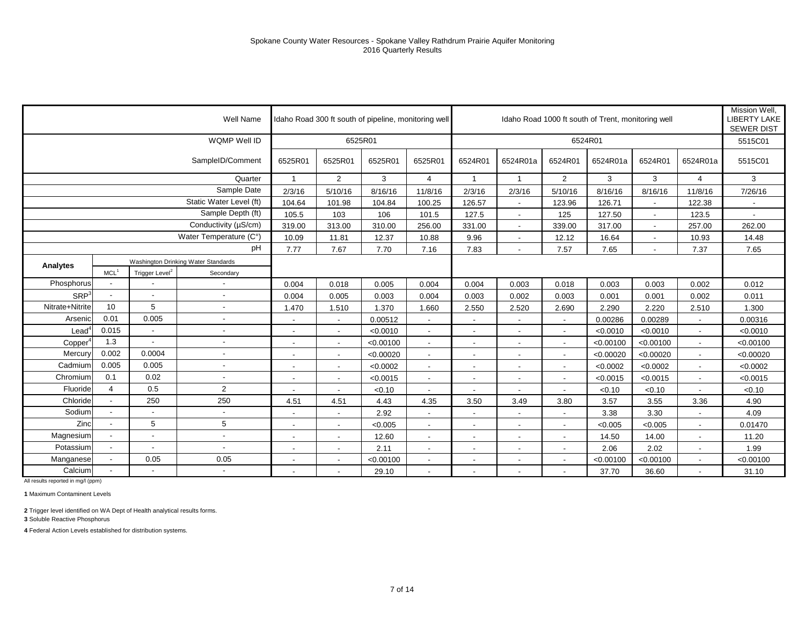|                  |                          |                            | Well Name                           |                          |                          | Idaho Road 300 ft south of pipeline, monitoring well |                          |                          |                          |                          | Idaho Road 1000 ft south of Trent, monitoring well |                          |                          | Mission Well.<br><b>LIBERTY LAKE</b><br><b>SEWER DIST</b> |
|------------------|--------------------------|----------------------------|-------------------------------------|--------------------------|--------------------------|------------------------------------------------------|--------------------------|--------------------------|--------------------------|--------------------------|----------------------------------------------------|--------------------------|--------------------------|-----------------------------------------------------------|
|                  |                          |                            | WQMP Well ID                        |                          | 6525R01                  |                                                      |                          |                          |                          |                          | 6524R01                                            |                          |                          | 5515C01                                                   |
|                  |                          |                            | SampleID/Comment                    | 6525R01                  | 6525R01                  | 6525R01                                              | 6525R01                  | 6524R01                  | 6524R01a                 | 6524R01                  | 6524R01a                                           | 6524R01                  | 6524R01a                 | 5515C01                                                   |
|                  |                          |                            | Quarter                             |                          | $\overline{2}$           | 3                                                    | 4                        | -1                       |                          | 2                        | 3                                                  | 3                        | $\overline{4}$           | 3                                                         |
|                  |                          |                            | Sample Date                         | 2/3/16                   | 5/10/16                  | 8/16/16                                              | 11/8/16                  | 2/3/16                   | 2/3/16                   | 5/10/16                  | 8/16/16                                            | 8/16/16                  | 11/8/16                  | 7/26/16                                                   |
|                  |                          |                            | Static Water Level (ft)             | 104.64                   | 101.98                   | 104.84                                               | 100.25                   | 126.57                   | $\blacksquare$           | 123.96                   | 126.71                                             | $\blacksquare$           | 122.38                   |                                                           |
|                  |                          |                            | Sample Depth (ft)                   | 105.5                    | 103                      | 106                                                  | 101.5                    | 127.5                    | $\overline{\phantom{a}}$ | 125                      | 127.50                                             | $\overline{\phantom{a}}$ | 123.5                    | $\overline{\phantom{a}}$                                  |
|                  |                          |                            | Conductivity (µS/cm)                | 319.00                   | 313.00                   | 310.00                                               | 256.00                   | 331.00                   | $\blacksquare$           | 339.00                   | 317.00                                             | $\overline{\phantom{a}}$ | 257.00                   | 262.00                                                    |
|                  |                          |                            | Water Temperature (C°)              | 10.09                    | 11.81                    | 12.37                                                | 10.88                    | 9.96                     | $\blacksquare$           | 12.12                    | 16.64                                              | $\overline{\phantom{a}}$ | 10.93                    | 14.48                                                     |
|                  |                          |                            | pH                                  | 7.77                     | 7.67                     | 7.70                                                 | 7.16                     | 7.83                     |                          | 7.57                     | 7.65                                               | $\overline{\phantom{a}}$ | 7.37                     | 7.65                                                      |
| Analytes         |                          |                            | Washington Drinking Water Standards |                          |                          |                                                      |                          |                          |                          |                          |                                                    |                          |                          |                                                           |
|                  | MCL <sup>1</sup>         | Trigger Level <sup>2</sup> | Secondary                           |                          |                          |                                                      |                          |                          |                          |                          |                                                    |                          |                          |                                                           |
| Phosphorus       |                          |                            |                                     | 0.004                    | 0.018                    | 0.005                                                | 0.004                    | 0.004                    | 0.003                    | 0.018                    | 0.003                                              | 0.003                    | 0.002                    | 0.012                                                     |
| SRP <sup>3</sup> | $\overline{\phantom{a}}$ | $\blacksquare$             | $\blacksquare$                      | 0.004                    | 0.005                    | 0.003                                                | 0.004                    | 0.003                    | 0.002                    | 0.003                    | 0.001                                              | 0.001                    | 0.002                    | 0.011                                                     |
| Nitrate+Nitrite  | 10                       | 5                          | $\overline{a}$                      | 1.470                    | 1.510                    | 1.370                                                | 1.660                    | 2.550                    | 2.520                    | 2.690                    | 2.290                                              | 2.220                    | 2.510                    | 1.300                                                     |
| Arsenic          | 0.01                     | 0.005                      | $\overline{a}$                      |                          |                          | 0.00512                                              |                          |                          |                          | $\overline{\phantom{a}}$ | 0.00286                                            | 0.00289                  |                          | 0.00316                                                   |
| Lead             | 0.015                    | $\sim$                     | $\blacksquare$                      | $\overline{\phantom{a}}$ | $\overline{\phantom{a}}$ | < 0.0010                                             | $\overline{\phantom{a}}$ | $\overline{\phantom{a}}$ | $\overline{\phantom{a}}$ | $\sim$                   | < 0.0010                                           | < 0.0010                 | $\overline{\phantom{a}}$ | < 0.0010                                                  |
| Copper           | 1.3                      | $\overline{\phantom{a}}$   | $\overline{a}$                      | $\overline{\phantom{a}}$ | $\overline{\phantom{a}}$ | < 0.00100                                            | $\overline{\phantom{a}}$ | $\overline{\phantom{a}}$ | $\overline{\phantom{a}}$ | $\overline{\phantom{a}}$ | < 0.00100                                          | < 0.00100                | $\blacksquare$           | < 0.00100                                                 |
| Mercury          | 0.002                    | 0.0004                     | $\overline{\phantom{a}}$            | $\overline{\phantom{a}}$ | $\overline{\phantom{a}}$ | < 0.00020                                            |                          | $\overline{\phantom{a}}$ |                          | $\blacksquare$           | < 0.00020                                          | < 0.00020                | $\overline{\phantom{a}}$ | < 0.00020                                                 |
| Cadmium          | 0.005                    | 0.005                      | $\blacksquare$                      | $\overline{\phantom{a}}$ | $\overline{\phantom{a}}$ | < 0.0002                                             | $\blacksquare$           | $\overline{\phantom{a}}$ | $\overline{\phantom{a}}$ | $\sim$                   | < 0.0002                                           | < 0.0002                 | $\blacksquare$           | < 0.0002                                                  |
| Chromium         | 0.1                      | 0.02                       |                                     | $\overline{\phantom{a}}$ | $\blacksquare$           | < 0.0015                                             | $\sim$                   | $\overline{\phantom{a}}$ | $\overline{\phantom{a}}$ | $\sim$                   | < 0.0015                                           | < 0.0015                 | $\overline{\phantom{a}}$ | < 0.0015                                                  |
| Fluoride         | 4                        | 0.5                        | 2                                   |                          | $\overline{\phantom{a}}$ | < 0.10                                               |                          |                          |                          | $\blacksquare$           | < 0.10                                             | < 0.10                   | L,                       | < 0.10                                                    |
| Chloride         |                          | 250                        | 250                                 | 4.51                     | 4.51                     | 4.43                                                 | 4.35                     | 3.50                     | 3.49                     | 3.80                     | 3.57                                               | 3.55                     | 3.36                     | 4.90                                                      |
| Sodium           |                          |                            |                                     | $\overline{\phantom{a}}$ | $\overline{\phantom{a}}$ | 2.92                                                 |                          | $\sim$                   | $\overline{\phantom{a}}$ | $\overline{\phantom{a}}$ | 3.38                                               | 3.30                     | $\blacksquare$           | 4.09                                                      |
| Zinc             |                          | 5                          | 5                                   | $\overline{\phantom{a}}$ |                          | < 0.005                                              |                          | $\overline{\phantom{a}}$ |                          | $\blacksquare$           | < 0.005                                            | < 0.005                  | L,                       | 0.01470                                                   |
| Magnesium        | $\overline{\phantom{a}}$ | $\blacksquare$             | $\blacksquare$                      | $\overline{\phantom{a}}$ | $\overline{\phantom{a}}$ | 12.60                                                |                          | $\overline{\phantom{a}}$ | $\overline{\phantom{a}}$ | $\sim$                   | 14.50                                              | 14.00                    | $\blacksquare$           | 11.20                                                     |
| Potassium        | $\overline{\phantom{a}}$ | $\overline{\phantom{a}}$   | $\blacksquare$                      | $\overline{\phantom{a}}$ | $\blacksquare$           | 2.11                                                 | $\overline{\phantom{a}}$ | $\overline{\phantom{a}}$ | $\overline{\phantom{a}}$ | $\sim$                   | 2.06                                               | 2.02                     | $\blacksquare$           | 1.99                                                      |
| Manganese        |                          | 0.05                       | 0.05                                | $\overline{\phantom{a}}$ | $\blacksquare$           | < 0.00100                                            |                          | $\overline{\phantom{a}}$ |                          | $\overline{\phantom{a}}$ | < 0.00100                                          | < 0.00100                | $\blacksquare$           | < 0.00100                                                 |
| Calcium          |                          | $\overline{\phantom{a}}$   | $\blacksquare$                      | $\overline{\phantom{a}}$ | $\overline{\phantom{a}}$ | 29.10                                                | $\overline{\phantom{a}}$ | $\overline{\phantom{a}}$ | $\blacksquare$           | $\overline{\phantom{a}}$ | 37.70                                              | 36.60                    | $\blacksquare$           | 31.10                                                     |
|                  |                          |                            |                                     |                          |                          |                                                      |                          |                          |                          |                          |                                                    |                          |                          |                                                           |

**1** Maximum Contaminent Levels

**2** Trigger level identified on WA Dept of Health analytical results forms.

**3** Soluble Reactive Phosphorus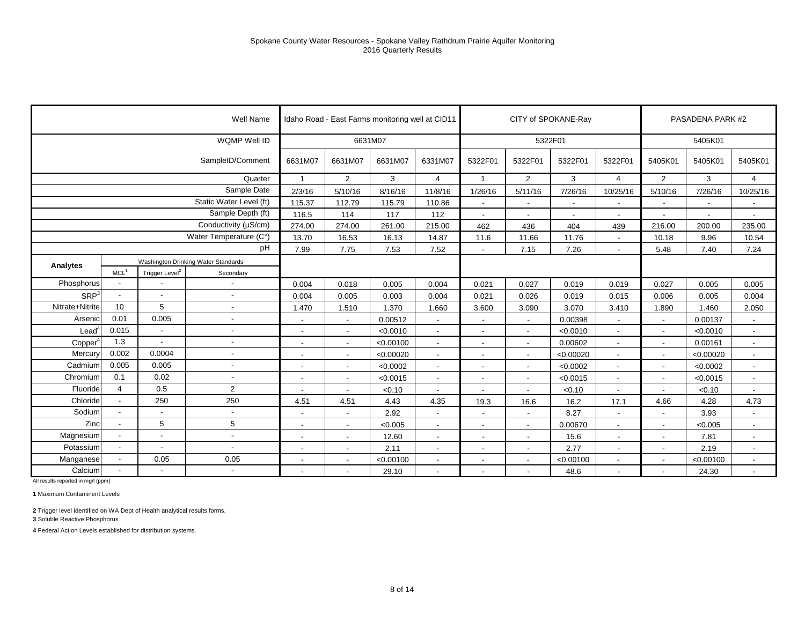|                     |                          |                            | Well Name                           |                          |                          | Idaho Road - East Farms monitoring well at CID11 |                          |                          |                          | CITY of SPOKANE-Ray      |                          |                          | PASADENA PARK #2 |                          |
|---------------------|--------------------------|----------------------------|-------------------------------------|--------------------------|--------------------------|--------------------------------------------------|--------------------------|--------------------------|--------------------------|--------------------------|--------------------------|--------------------------|------------------|--------------------------|
|                     |                          |                            | WQMP Well ID                        |                          | 6631M07                  |                                                  |                          |                          |                          | 5322F01                  |                          |                          | 5405K01          |                          |
|                     |                          |                            | SampleID/Comment                    | 6631M07                  | 6631M07                  | 6631M07                                          | 6331M07                  | 5322F01                  | 5322F01                  | 5322F01                  | 5322F01                  | 5405K01                  | 5405K01          | 5405K01                  |
|                     |                          |                            | Quarter                             | $\overline{1}$           | $\overline{2}$           | 3                                                | $\overline{4}$           | $\overline{1}$           | $\overline{2}$           | 3                        | $\overline{4}$           | $\overline{2}$           | 3                | $\overline{4}$           |
|                     |                          |                            | Sample Date                         | 2/3/16                   | 5/10/16                  | 8/16/16                                          | 11/8/16                  | 1/26/16                  | 5/11/16                  | 7/26/16                  | 10/25/16                 | 5/10/16                  | 7/26/16          | 10/25/16                 |
|                     |                          |                            | Static Water Level (ft)             | 115.37                   | 112.79                   | 115.79                                           | 110.86                   |                          |                          |                          |                          |                          |                  | $\overline{\phantom{a}}$ |
|                     |                          |                            | Sample Depth (ft)                   | 116.5                    | 114                      | 117                                              | 112                      |                          |                          | $\overline{\phantom{a}}$ |                          |                          |                  | $\overline{\phantom{a}}$ |
|                     |                          |                            | Conductivity (µS/cm)                | 274.00                   | 274.00                   | 261.00                                           | 215.00                   | 462                      | 436                      | 404                      | 439                      | 216.00                   | 200.00           | 235.00                   |
|                     |                          |                            | Water Temperature (C°)              | 13.70                    | 16.53                    | 16.13                                            | 14.87                    | 11.6                     | 11.66                    | 11.76                    | $\overline{\phantom{a}}$ | 10.18                    | 9.96             | 10.54                    |
|                     |                          |                            | pH                                  | 7.99                     | 7.75                     | 7.53                                             | 7.52                     |                          | 7.15                     | 7.26                     |                          | 5.48                     | 7.40             | 7.24                     |
| Analytes            |                          |                            | Washington Drinking Water Standards |                          |                          |                                                  |                          |                          |                          |                          |                          |                          |                  |                          |
|                     | MCL <sup>1</sup>         | Trigger Level <sup>2</sup> | Secondary                           |                          |                          |                                                  |                          |                          |                          |                          |                          |                          |                  |                          |
| Phosphorus          |                          |                            | $\blacksquare$                      | 0.004                    | 0.018                    | 0.005                                            | 0.004                    | 0.021                    | 0.027                    | 0.019                    | 0.019                    | 0.027                    | 0.005            | 0.005                    |
| SRP <sup>3</sup>    | $\blacksquare$           | $\blacksquare$             | $\overline{\phantom{a}}$            | 0.004                    | 0.005                    | 0.003                                            | 0.004                    | 0.021                    | 0.026                    | 0.019                    | 0.015                    | 0.006                    | 0.005            | 0.004                    |
| Nitrate+Nitrite     | 10                       | 5                          | $\blacksquare$                      | 1.470                    | 1.510                    | 1.370                                            | 1.660                    | 3.600                    | 3.090                    | 3.070                    | 3.410                    | 1.890                    | 1.460            | 2.050                    |
| Arsenic             | 0.01                     | 0.005                      | $\blacksquare$                      | $\overline{\phantom{a}}$ |                          | 0.00512                                          |                          |                          |                          | 0.00398                  |                          |                          | 0.00137          |                          |
| Lead <sup>4</sup>   | 0.015                    |                            | $\overline{\phantom{a}}$            | $\blacksquare$           | $\blacksquare$           | < 0.0010                                         | $\overline{\phantom{a}}$ | $\overline{\phantom{a}}$ | $\sim$                   | < 0.0010                 | $\sim$                   | $\sim$                   | < 0.0010         | $\overline{\phantom{a}}$ |
| Copper <sup>4</sup> | 1.3                      | $\overline{a}$             | $\overline{\phantom{a}}$            | $\overline{\phantom{a}}$ | $\overline{\phantom{a}}$ | < 0.00100                                        | $\blacksquare$           | $\overline{\phantom{a}}$ | $\overline{\phantom{a}}$ | 0.00602                  | $\sim$                   | $\sim$                   | 0.00161          | $\sim$                   |
| Mercury             | 0.002                    | 0.0004                     | $\blacksquare$                      | $\blacksquare$           |                          | < 0.00020                                        |                          | $\overline{\phantom{a}}$ |                          | < 0.00020                |                          |                          | < 0.00020        | $\blacksquare$           |
| Cadmium             | 0.005                    | 0.005                      | $\blacksquare$                      | $\overline{\phantom{a}}$ | $\blacksquare$           | < 0.0002                                         | $\overline{\phantom{a}}$ | $\overline{\phantom{a}}$ | $\sim$                   | < 0.0002                 | $\sim$                   | $\overline{\phantom{a}}$ | < 0.0002         | $\blacksquare$           |
| Chromium            | 0.1                      | 0.02                       | $\blacksquare$                      | $\blacksquare$           | $\overline{\phantom{a}}$ | < 0.0015                                         | $\overline{\phantom{a}}$ | $\blacksquare$           | $\overline{\phantom{a}}$ | < 0.0015                 | $\overline{a}$           | $\overline{\phantom{a}}$ | < 0.0015         | $\sim$                   |
| Fluoride            | $\overline{4}$           | 0.5                        | 2                                   | ٠                        |                          | < 0.10                                           |                          |                          |                          | < 0.10                   |                          |                          | < 0.10           |                          |
| Chloride            | $\overline{\phantom{a}}$ | 250                        | 250                                 | 4.51                     | 4.51                     | 4.43                                             | 4.35                     | 19.3                     | 16.6                     | 16.2                     | 17.1                     | 4.66                     | 4.28             | 4.73                     |
| Sodium              | $\blacksquare$           |                            | $\overline{\phantom{a}}$            | $\blacksquare$           | $\overline{\phantom{a}}$ | 2.92                                             | $\overline{\phantom{a}}$ | $\overline{\phantom{a}}$ | $\overline{\phantom{a}}$ | 8.27                     |                          | $\overline{\phantom{a}}$ | 3.93             | $\sim$                   |
| Zinc                |                          | 5                          | 5                                   | $\overline{\phantom{a}}$ |                          | < 0.005                                          |                          | $\overline{\phantom{a}}$ |                          | 0.00670                  |                          |                          | < 0.005          | $\overline{\phantom{a}}$ |
| Magnesium           | $\overline{\phantom{a}}$ | $\overline{\phantom{a}}$   | $\overline{\phantom{a}}$            | $\overline{\phantom{a}}$ | $\blacksquare$           | 12.60                                            | $\overline{\phantom{a}}$ | $\overline{\phantom{a}}$ |                          | 15.6                     | $\sim$                   | $\sim$                   | 7.81             | $\overline{\phantom{a}}$ |
| Potassium           | $\blacksquare$           | $\sim$                     | $\blacksquare$                      | $\overline{\phantom{a}}$ | $\overline{\phantom{a}}$ | 2.11                                             | $\sim$                   | $\overline{\phantom{a}}$ | $\overline{\phantom{a}}$ | 2.77                     | $\sim$                   | $\overline{\phantom{a}}$ | 2.19             | $\overline{\phantom{a}}$ |
| Manganese           |                          | 0.05                       | 0.05                                | $\overline{\phantom{a}}$ |                          | < 0.00100                                        |                          | $\overline{\phantom{a}}$ |                          | < 0.00100                |                          |                          | < 0.00100        | $\blacksquare$           |
| Calcium             | $\blacksquare$           | $\blacksquare$             | $\overline{\phantom{a}}$            | $\blacksquare$           | $\blacksquare$           | 29.10                                            | $\overline{\phantom{a}}$ | $\overline{\phantom{a}}$ |                          | 48.6                     | $\overline{\phantom{a}}$ | $\overline{\phantom{a}}$ | 24.30            | $\blacksquare$           |

**1** Maximum Contaminent Levels

**2** Trigger level identified on WA Dept of Health analytical results forms.

**3** Soluble Reactive Phosphorus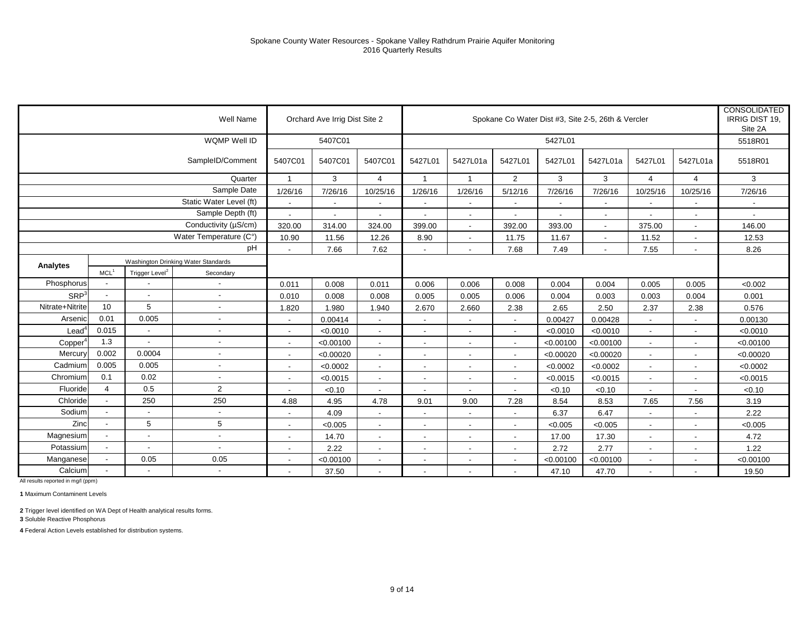|                   |                          |                            | <b>Well Name</b>                    |                          | Orchard Ave Irrig Dist Site 2 |                          |                          |                          |                          |                          | Spokane Co Water Dist #3, Site 2-5, 26th & Vercler |                          |                          | <b>CONSOLIDATED</b><br>IRRIG DIST 19.<br>Site 2A |
|-------------------|--------------------------|----------------------------|-------------------------------------|--------------------------|-------------------------------|--------------------------|--------------------------|--------------------------|--------------------------|--------------------------|----------------------------------------------------|--------------------------|--------------------------|--------------------------------------------------|
|                   |                          |                            | WQMP Well ID                        |                          | 5407C01                       |                          |                          |                          |                          | 5427L01                  |                                                    |                          |                          | 5518R01                                          |
|                   |                          |                            | SampleID/Comment                    | 5407C01                  | 5407C01                       | 5407C01                  | 5427L01                  | 5427L01a                 | 5427L01                  | 5427L01                  | 5427L01a                                           | 5427L01                  | 5427L01a                 | 5518R01                                          |
|                   |                          |                            | Quarter                             | $\overline{1}$           | 3                             | 4                        | $\mathbf{1}$             | $\overline{1}$           | 2                        | 3                        | 3                                                  | 4                        | $\overline{4}$           | 3                                                |
|                   |                          |                            | Sample Date                         | 1/26/16                  | 7/26/16                       | 10/25/16                 | 1/26/16                  | 1/26/16                  | 5/12/16                  | 7/26/16                  | 7/26/16                                            | 10/25/16                 | 10/25/16                 | 7/26/16                                          |
|                   |                          |                            | Static Water Level (ft)             |                          | $\overline{\phantom{a}}$      | $\blacksquare$           | $\overline{\phantom{a}}$ |                          | $\overline{\phantom{a}}$ |                          | $\blacksquare$                                     |                          |                          |                                                  |
|                   |                          |                            | Sample Depth (ft)                   | $\sim$                   | $\overline{\phantom{a}}$      | $\sim$                   | $\sim$                   | $\overline{\phantom{a}}$ | $\overline{\phantom{a}}$ | $\overline{\phantom{a}}$ | $\sim$                                             | $\overline{\phantom{a}}$ | $\overline{\phantom{a}}$ | $\sim$                                           |
|                   |                          |                            | Conductivity (µS/cm)                | 320.00                   | 314.00                        | 324.00                   | 399.00                   | $\overline{\phantom{a}}$ | 392.00                   | 393.00                   | $\sim$                                             | 375.00                   | $\overline{\phantom{a}}$ | 146.00                                           |
|                   |                          |                            | Water Temperature (C°)              | 10.90                    | 11.56                         | 12.26                    | 8.90                     | $\overline{\phantom{a}}$ | 11.75                    | 11.67                    | $\overline{\phantom{a}}$                           | 11.52                    | $\overline{\phantom{a}}$ | 12.53                                            |
|                   |                          |                            | pH                                  | $\blacksquare$           | 7.66                          | 7.62                     | $\overline{\phantom{a}}$ | $\blacksquare$           | 7.68                     | 7.49                     |                                                    | 7.55                     | $\overline{\phantom{a}}$ | 8.26                                             |
| Analytes          |                          |                            | Washington Drinking Water Standards |                          |                               |                          |                          |                          |                          |                          |                                                    |                          |                          |                                                  |
|                   | MCL <sup>1</sup>         | Trigger Level <sup>2</sup> | Secondary                           |                          |                               |                          |                          |                          |                          |                          |                                                    |                          |                          |                                                  |
| Phosphorus        |                          |                            | $\blacksquare$                      | 0.011                    | 0.008                         | 0.011                    | 0.006                    | 0.006                    | 0.008                    | 0.004                    | 0.004                                              | 0.005                    | 0.005                    | < 0.002                                          |
| SRP <sup>3</sup>  | $\overline{a}$           | $\sim$                     | $\sim$                              | 0.010                    | 0.008                         | 0.008                    | 0.005                    | 0.005                    | 0.006                    | 0.004                    | 0.003                                              | 0.003                    | 0.004                    | 0.001                                            |
| Nitrate+Nitrite   | 10                       | 5                          | $\overline{\phantom{a}}$            | 1.820                    | 1.980                         | 1.940                    | 2.670                    | 2.660                    | 2.38                     | 2.65                     | 2.50                                               | 2.37                     | 2.38                     | 0.576                                            |
| Arsenic           | 0.01                     | 0.005                      | L,                                  | $\blacksquare$           | 0.00414                       |                          |                          |                          | $\overline{\phantom{a}}$ | 0.00427                  | 0.00428                                            | $\overline{\phantom{a}}$ |                          | 0.00130                                          |
| $\textsf{lead}^4$ | 0.015                    | $\overline{\phantom{a}}$   | $\overline{\phantom{a}}$            | $\mathbf{r}$             | < 0.0010                      | $\overline{a}$           | $\sim$                   |                          | $\overline{\phantom{a}}$ | < 0.0010                 | < 0.0010                                           | $\mathbf{r}$             | $\overline{\phantom{a}}$ | < 0.0010                                         |
| Copper            | 1.3                      |                            | $\blacksquare$                      | $\blacksquare$           | < 0.00100                     | $\blacksquare$           | $\sim$                   | $\overline{\phantom{a}}$ | $\overline{\phantom{a}}$ | < 0.00100                | < 0.00100                                          | $\overline{\phantom{a}}$ | $\overline{\phantom{a}}$ | < 0.00100                                        |
| Mercury           | 0.002                    | 0.0004                     | $\blacksquare$                      | $\overline{\phantom{a}}$ | < 0.00020                     | $\blacksquare$           | $\blacksquare$           |                          | $\overline{\phantom{a}}$ | < 0.00020                | < 0.00020                                          |                          |                          | < 0.00020                                        |
| Cadmium           | 0.005                    | 0.005                      | $\overline{\phantom{a}}$            | $\sim$                   | < 0.0002                      | $\sim$                   | $\sim$                   |                          | $\overline{\phantom{a}}$ | < 0.0002                 | < 0.0002                                           | $\blacksquare$           | $\overline{\phantom{a}}$ | < 0.0002                                         |
| Chromium          | 0.1                      | 0.02                       | $\blacksquare$                      | $\overline{\phantom{a}}$ | < 0.0015                      | $\overline{a}$           | $\overline{\phantom{a}}$ | $\overline{\phantom{a}}$ | $\sim$                   | < 0.0015                 | < 0.0015                                           | $\overline{\phantom{a}}$ | $\overline{\phantom{a}}$ | < 0.0015                                         |
| Fluoride          | $\overline{4}$           | 0.5                        | $\overline{2}$                      |                          | < 0.10                        |                          |                          |                          |                          | < 0.10                   | < 0.10                                             |                          |                          | < 0.10                                           |
| Chloride          | Ĭ.                       | 250                        | 250                                 | 4.88                     | 4.95                          | 4.78                     | 9.01                     | 9.00                     | 7.28                     | 8.54                     | 8.53                                               | 7.65                     | 7.56                     | 3.19                                             |
| Sodium            |                          |                            | $\overline{\phantom{a}}$            | $\overline{\phantom{a}}$ | 4.09                          | $\blacksquare$           | $\sim$                   | $\overline{\phantom{a}}$ | $\sim$                   | 6.37                     | 6.47                                               | $\overline{\phantom{a}}$ | $\overline{\phantom{a}}$ | 2.22                                             |
| Zinc              |                          | 5                          | 5                                   | $\blacksquare$           | < 0.005                       | $\overline{a}$           | $\blacksquare$           |                          | $\blacksquare$           | < 0.005                  | < 0.005                                            | $\blacksquare$           | $\overline{\phantom{a}}$ | < 0.005                                          |
| Magnesium         | $\overline{\phantom{a}}$ | $\overline{\phantom{a}}$   | $\sim$                              | $\overline{\phantom{a}}$ | 14.70                         | $\overline{\phantom{a}}$ | $\overline{\phantom{a}}$ | $\overline{\phantom{a}}$ | $\sim$                   | 17.00                    | 17.30                                              | $\overline{\phantom{a}}$ | $\overline{\phantom{a}}$ | 4.72                                             |
| Potassium         | ÷,                       | $\sim$                     | ÷,                                  | $\blacksquare$           | 2.22                          | $\blacksquare$           | $\blacksquare$           | $\overline{\phantom{a}}$ | $\blacksquare$           | 2.72                     | 2.77                                               | $\blacksquare$           | $\blacksquare$           | 1.22                                             |
| Manganese         |                          | 0.05                       | 0.05                                | $\overline{\phantom{a}}$ | < 0.00100                     | $\overline{\phantom{a}}$ | $\overline{\phantom{a}}$ |                          | $\overline{\phantom{a}}$ | < 0.00100                | < 0.00100                                          |                          |                          | < 0.00100                                        |
| Calcium           |                          |                            | $\sim$                              | $\overline{a}$           | 37.50                         | $\sim$                   | $\blacksquare$           | $\overline{\phantom{a}}$ | $\blacksquare$           | 47.10                    | 47.70                                              | $\sim$                   | $\blacksquare$           | 19.50                                            |

**1** Maximum Contaminent Levels

**2** Trigger level identified on WA Dept of Health analytical results forms.

**3** Soluble Reactive Phosphorus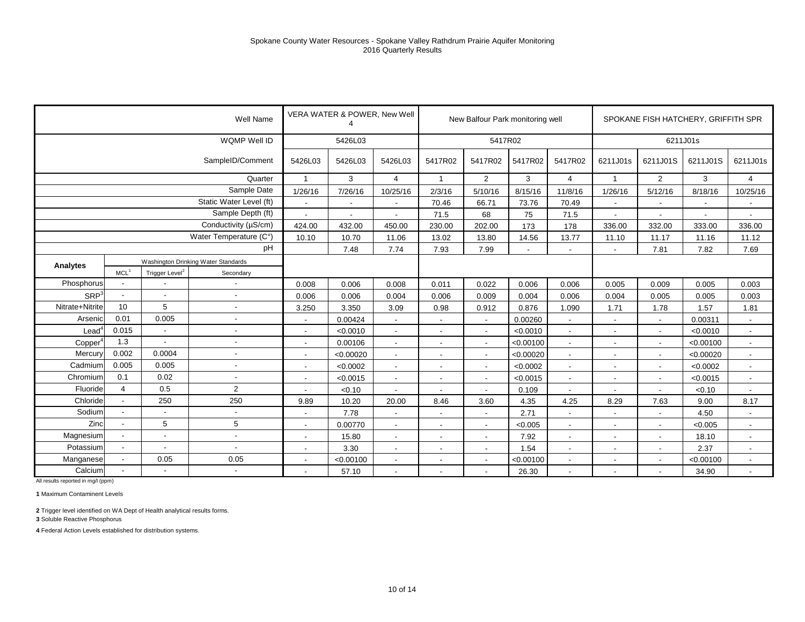|                     |                          |                            | <b>Well Name</b>                    |                          | VERA WATER & POWER, New Well<br>4 |                          |                          | New Balfour Park monitoring well |           |                          |                          | SPOKANE FISH HATCHERY, GRIFFITH SPR |                          |                          |
|---------------------|--------------------------|----------------------------|-------------------------------------|--------------------------|-----------------------------------|--------------------------|--------------------------|----------------------------------|-----------|--------------------------|--------------------------|-------------------------------------|--------------------------|--------------------------|
|                     |                          |                            | WQMP Well ID                        |                          | 5426L03                           |                          |                          | 5417R02                          |           |                          |                          |                                     | 6211J01s                 |                          |
|                     |                          |                            | SampleID/Comment                    | 5426L03                  | 5426L03                           | 5426L03                  | 5417R02                  | 5417R02                          | 5417R02   | 5417R02                  | 6211J01s                 | 6211J01S                            | 6211J01S                 | 6211J01s                 |
|                     |                          |                            | Quarter                             | $\mathbf{1}$             | 3                                 | $\overline{4}$           | $\overline{1}$           | $\overline{2}$                   | 3         | $\overline{4}$           | $\mathbf{1}$             | $\overline{2}$                      | 3                        | $\overline{4}$           |
|                     |                          |                            | Sample Date                         | 1/26/16                  | 7/26/16                           | 10/25/16                 | 2/3/16                   | 5/10/16                          | 8/15/16   | 11/8/16                  | 1/26/16                  | 5/12/16                             | 8/18/16                  | 10/25/16                 |
|                     |                          |                            | Static Water Level (ft)             | $\overline{\phantom{a}}$ | $\overline{\phantom{a}}$          | $\overline{\phantom{a}}$ | 70.46                    | 66.71                            | 73.76     | 70.49                    | $\overline{\phantom{a}}$ | $\blacksquare$                      | $\overline{\phantom{a}}$ | $\overline{\phantom{a}}$ |
|                     |                          |                            | Sample Depth (ft)                   |                          | $\overline{\phantom{a}}$          |                          | 71.5                     | 68                               | 75        | 71.5                     |                          |                                     |                          |                          |
|                     |                          |                            | Conductivity (µS/cm)                | 424.00                   | 432.00                            | 450.00                   | 230.00                   | 202.00                           | 173       | 178                      | 336.00                   | 332.00                              | 333.00                   | 336.00                   |
|                     |                          |                            | Water Temperature (C°)              | 10.10                    | 10.70                             | 11.06                    | 13.02                    | 13.80                            | 14.56     | 13.77                    | 11.10                    | 11.17                               | 11.16                    | 11.12                    |
|                     |                          |                            | pH                                  |                          | 7.48                              | 7.74                     | 7.93                     | 7.99                             |           |                          |                          | 7.81                                | 7.82                     | 7.69                     |
| Analytes            |                          |                            | Washington Drinking Water Standards |                          |                                   |                          |                          |                                  |           |                          |                          |                                     |                          |                          |
|                     | MCL <sup>1</sup>         | Trigger Level <sup>2</sup> | Secondary                           |                          |                                   |                          |                          |                                  |           |                          |                          |                                     |                          |                          |
| Phosphorus          |                          |                            |                                     | 0.008                    | 0.006                             | 0.008                    | 0.011                    | 0.022                            | 0.006     | 0.006                    | 0.005                    | 0.009                               | 0.005                    | 0.003                    |
| SRP <sup>3</sup>    |                          |                            | $\overline{\phantom{a}}$            | 0.006                    | 0.006                             | 0.004                    | 0.006                    | 0.009                            | 0.004     | 0.006                    | 0.004                    | 0.005                               | 0.005                    | 0.003                    |
| Nitrate+Nitrite     | 10                       | 5                          | $\blacksquare$                      | 3.250                    | 3.350                             | 3.09                     | 0.98                     | 0.912                            | 0.876     | 1.090                    | 1.71                     | 1.78                                | 1.57                     | 1.81                     |
| Arsenic             | 0.01                     | 0.005                      |                                     |                          | 0.00424                           | $\blacksquare$           | $\blacksquare$           |                                  | 0.00260   |                          |                          | $\overline{a}$                      | 0.00311                  |                          |
| $\text{Lead}^4$     | 0.015                    |                            | $\overline{\phantom{a}}$            | $\overline{\phantom{a}}$ | < 0.0010                          | $\blacksquare$           | $\sim$                   | $\overline{\phantom{a}}$         | < 0.0010  | $\blacksquare$           |                          | $\blacksquare$                      | < 0.0010                 | $\blacksquare$           |
| Copper <sup>®</sup> | 1.3                      |                            | $\overline{\phantom{a}}$            | $\overline{\phantom{a}}$ | 0.00106                           | $\blacksquare$           | $\overline{\phantom{a}}$ | $\overline{\phantom{a}}$         | < 0.00100 | $\overline{\phantom{a}}$ |                          | $\blacksquare$                      | < 0.00100                | $\sim$                   |
| Mercury             | 0.002                    | 0.0004                     | ٠                                   | $\overline{\phantom{a}}$ | < 0.00020                         | $\blacksquare$           | $\blacksquare$           | $\overline{a}$                   | < 0.00020 | $\overline{\phantom{a}}$ |                          | $\blacksquare$                      | < 0.00020                | $\overline{\phantom{a}}$ |
| Cadmium             | 0.005                    | 0.005                      | $\overline{\phantom{a}}$            | $\overline{\phantom{a}}$ | < 0.0002                          | $\blacksquare$           | $\overline{a}$           | $\sim$                           | < 0.0002  | $\sim$                   |                          | $\overline{a}$                      | < 0.0002                 | $\blacksquare$           |
| Chromium            | 0.1                      | 0.02                       | $\overline{a}$                      | $\overline{\phantom{a}}$ | < 0.0015                          | $\blacksquare$           | $\blacksquare$           | $\overline{\phantom{a}}$         | < 0.0015  | $\blacksquare$           |                          | $\overline{\phantom{a}}$            | < 0.0015                 | $\overline{\phantom{a}}$ |
| Fluoride            | $\overline{4}$           | 0.5                        | $\overline{2}$                      |                          | < 0.10                            |                          |                          |                                  | 0.109     |                          |                          |                                     | < 0.10                   |                          |
| Chloride            | $\blacksquare$           | 250                        | 250                                 | 9.89                     | 10.20                             | 20.00                    | 8.46                     | 3.60                             | 4.35      | 4.25                     | 8.29                     | 7.63                                | 9.00                     | 8.17                     |
| Sodium              |                          |                            | $\blacksquare$                      | $\overline{\phantom{a}}$ | 7.78                              | $\blacksquare$           | $\blacksquare$           | $\overline{\phantom{a}}$         | 2.71      | $\blacksquare$           |                          | $\overline{\phantom{a}}$            | 4.50                     | $\blacksquare$           |
| Zinc                |                          | 5                          | 5                                   |                          | 0.00770                           | $\overline{\phantom{a}}$ | $\overline{\phantom{a}}$ |                                  | < 0.005   | $\overline{\phantom{a}}$ |                          | $\overline{\phantom{a}}$            | < 0.005                  | $\overline{\phantom{a}}$ |
| Magnesium           | $\overline{\phantom{a}}$ | $\overline{\phantom{a}}$   | $\blacksquare$                      | $\overline{\phantom{a}}$ | 15.80                             | $\blacksquare$           | $\overline{a}$           | $\overline{\phantom{a}}$         | 7.92      | $\blacksquare$           |                          | $\overline{\phantom{a}}$            | 18.10                    | $\overline{\phantom{a}}$ |
| Potassium           |                          |                            | $\overline{\phantom{a}}$            | $\overline{\phantom{a}}$ | 3.30                              | $\blacksquare$           | $\overline{\phantom{a}}$ | $\overline{\phantom{a}}$         | 1.54      | $\overline{\phantom{a}}$ |                          | $\overline{\phantom{a}}$            | 2.37                     | $\sim$                   |
| Manganese           |                          | 0.05                       | 0.05                                |                          | < 0.00100                         | $\overline{\phantom{a}}$ | $\overline{\phantom{a}}$ |                                  | < 0.00100 | $\overline{\phantom{a}}$ |                          | $\overline{\phantom{a}}$            | < 0.00100                | $\overline{\phantom{a}}$ |
| Calcium             | $\overline{\phantom{a}}$ |                            | $\overline{\phantom{a}}$            | $\blacksquare$           | 57.10                             | $\overline{\phantom{a}}$ | $\overline{\phantom{a}}$ | $\overline{\phantom{a}}$         | 26.30     | $\sim$                   |                          | $\overline{a}$                      | 34.90                    | $\overline{\phantom{a}}$ |

**1** Maximum Contaminent Levels

**2** Trigger level identified on WA Dept of Health analytical results forms.

**3** Soluble Reactive Phosphorus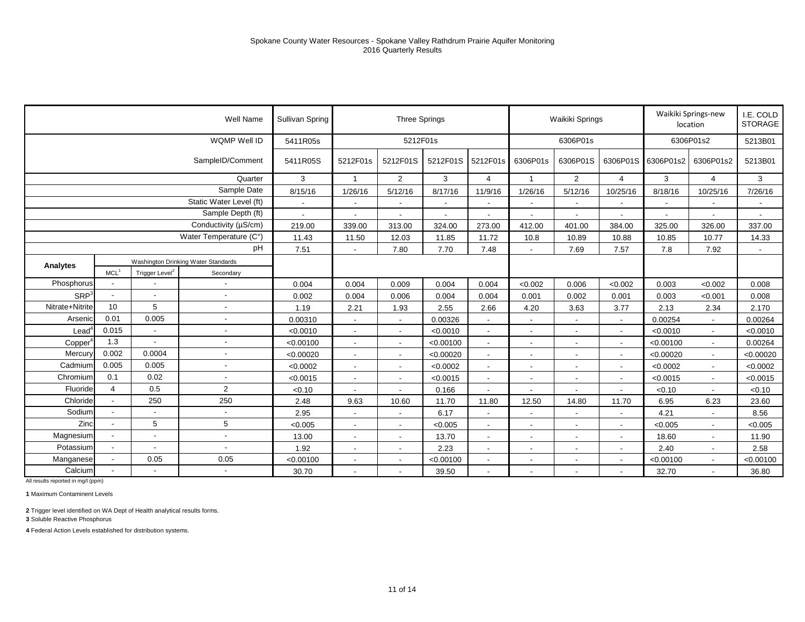|                  |                          |                            | Well Name                           | Sullivan Spring |                          | <b>Three Springs</b>     |                          |                          |                          | Waikiki Springs          |                          |                          | Waikiki Springs-new<br>location | I.E. COLD<br><b>STORAGE</b> |
|------------------|--------------------------|----------------------------|-------------------------------------|-----------------|--------------------------|--------------------------|--------------------------|--------------------------|--------------------------|--------------------------|--------------------------|--------------------------|---------------------------------|-----------------------------|
|                  |                          |                            | WQMP Well ID                        | 5411R05s        |                          | 5212F01s                 |                          |                          |                          | 6306P01s                 |                          |                          | 6306P01s2                       | 5213B01                     |
|                  |                          |                            | SampleID/Comment                    | 5411R05S        | 5212F01s                 | 5212F01S                 | 5212F01S                 | 5212F01s                 | 6306P01s                 | 6306P01S                 | 6306P01S                 | 6306P01s2                | 6306P01s2                       | 5213B01                     |
|                  |                          |                            | Quarter                             | 3               | $\mathbf{1}$             | $\overline{2}$           | 3                        | $\overline{4}$           | $\overline{\mathbf{1}}$  | 2                        | $\overline{4}$           | 3                        | $\overline{4}$                  | 3                           |
|                  |                          |                            | Sample Date                         | 8/15/16         | 1/26/16                  | 5/12/16                  | 8/17/16                  | 11/9/16                  | 1/26/16                  | 5/12/16                  | 10/25/16                 | 8/18/16                  | 10/25/16                        | 7/26/16                     |
|                  |                          |                            | Static Water Level (ft)             |                 |                          |                          | $\blacksquare$           | $\blacksquare$           | $\overline{\phantom{a}}$ |                          | $\blacksquare$           | $\overline{\phantom{a}}$ |                                 |                             |
|                  |                          |                            | Sample Depth (ft)                   | $\blacksquare$  | $\sim$                   | $\overline{\phantom{a}}$ | $\overline{\phantom{a}}$ | $\overline{\phantom{a}}$ | $\overline{\phantom{a}}$ | $\sim$                   | $\blacksquare$           | $\sim$                   | $\overline{\phantom{a}}$        | $\overline{\phantom{a}}$    |
|                  |                          |                            | Conductivity (µS/cm)                | 219.00          | 339.00                   | 313.00                   | 324.00                   | 273.00                   | 412.00                   | 401.00                   | 384.00                   | 325.00                   | 326.00                          | 337.00                      |
|                  |                          |                            | Water Temperature (C°)              | 11.43           | 11.50                    | 12.03                    | 11.85                    | 11.72                    | 10.8                     | 10.89                    | 10.88                    | 10.85                    | 10.77                           | 14.33                       |
|                  |                          |                            | pH                                  | 7.51            |                          | 7.80                     | 7.70                     | 7.48                     |                          | 7.69                     | 7.57                     | 7.8                      | 7.92                            |                             |
| Analytes         |                          |                            | Washington Drinking Water Standards |                 |                          |                          |                          |                          |                          |                          |                          |                          |                                 |                             |
|                  | MCL <sup>1</sup>         | Trigger Level <sup>2</sup> | Secondary                           |                 |                          |                          |                          |                          |                          |                          |                          |                          |                                 |                             |
| Phosphorus       |                          |                            |                                     | 0.004           | 0.004                    | 0.009                    | 0.004                    | 0.004                    | < 0.002                  | 0.006                    | < 0.002                  | 0.003                    | < 0.002                         | 0.008                       |
| SRP <sup>3</sup> |                          | $\overline{a}$             | $\sim$                              | 0.002           | 0.004                    | 0.006                    | 0.004                    | 0.004                    | 0.001                    | 0.002                    | 0.001                    | 0.003                    | < 0.001                         | 0.008                       |
| Nitrate+Nitrite  | 10                       | 5                          | $\blacksquare$                      | 1.19            | 2.21                     | 1.93                     | 2.55                     | 2.66                     | 4.20                     | 3.63                     | 3.77                     | 2.13                     | 2.34                            | 2.170                       |
| Arsenic          | 0.01                     | 0.005                      |                                     | 0.00310         |                          |                          | 0.00326                  | $\overline{\phantom{a}}$ |                          |                          | $\overline{\phantom{a}}$ | 0.00254                  | $\overline{\phantom{a}}$        | 0.00264                     |
| Lead             | 0.015                    | $\overline{\phantom{a}}$   | $\overline{\phantom{a}}$            | < 0.0010        | $\overline{a}$           |                          | < 0.0010                 | $\overline{\phantom{a}}$ |                          |                          | $\overline{a}$           | < 0.0010                 | $\overline{a}$                  | < 0.0010                    |
| Copper           | 1.3                      | $\blacksquare$             | $\overline{\phantom{a}}$            | < 0.00100       | $\overline{\phantom{a}}$ | $\overline{\phantom{a}}$ | < 0.00100                | $\overline{\phantom{a}}$ | $\overline{\phantom{a}}$ |                          | $\overline{\phantom{a}}$ | < 0.00100                | $\blacksquare$                  | 0.00264                     |
| Mercury          | 0.002                    | 0.0004                     |                                     | < 0.00020       |                          |                          | < 0.00020                | $\overline{\phantom{a}}$ |                          |                          | $\blacksquare$           | < 0.00020                | $\blacksquare$                  | < 0.00020                   |
| Cadmium          | 0.005                    | 0.005                      | $\overline{\phantom{a}}$            | < 0.0002        | $\sim$                   | $\blacksquare$           | < 0.0002                 | $\sim$                   |                          |                          | $\sim$                   | < 0.0002                 | $\blacksquare$                  | < 0.0002                    |
| Chromium         | 0.1                      | 0.02                       |                                     | < 0.0015        | $\overline{\phantom{a}}$ | $\overline{\phantom{a}}$ | < 0.0015                 | $\overline{\phantom{a}}$ | $\overline{\phantom{a}}$ |                          | $\blacksquare$           | < 0.0015                 | $\blacksquare$                  | < 0.0015                    |
| Fluoride         | $\overline{4}$           | 0.5                        | 2                                   | < 0.10          |                          |                          | 0.166                    | $\overline{\phantom{a}}$ |                          |                          | $\blacksquare$           | < 0.10                   | $\overline{a}$                  | < 0.10                      |
| Chloride         |                          | 250                        | 250                                 | 2.48            | 9.63                     | 10.60                    | 11.70                    | 11.80                    | 12.50                    | 14.80                    | 11.70                    | 6.95                     | 6.23                            | 23.60                       |
| Sodium           |                          |                            |                                     | 2.95            | $\overline{\phantom{a}}$ | $\overline{\phantom{a}}$ | 6.17                     | $\overline{\phantom{a}}$ | $\overline{\phantom{a}}$ | $\overline{\phantom{a}}$ | $\blacksquare$           | 4.21                     | $\blacksquare$                  | 8.56                        |
| Zinc             |                          | 5                          | 5                                   | < 0.005         |                          |                          | < 0.005                  | $\blacksquare$           |                          |                          | $\blacksquare$           | < 0.005                  | $\overline{a}$                  | < 0.005                     |
| Magnesium        | $\blacksquare$           | $\overline{a}$             | $\sim$                              | 13.00           | $\overline{\phantom{a}}$ | $\overline{\phantom{a}}$ | 13.70                    | $\overline{\phantom{a}}$ |                          | $\overline{\phantom{a}}$ | $\blacksquare$           | 18.60                    | $\blacksquare$                  | 11.90                       |
| Potassium        | $\overline{\phantom{a}}$ | $\overline{\phantom{a}}$   | $\blacksquare$                      | 1.92            | $\overline{\phantom{a}}$ | $\overline{\phantom{a}}$ | 2.23                     | $\overline{\phantom{a}}$ | $\overline{\phantom{a}}$ |                          | $\blacksquare$           | 2.40                     | $\blacksquare$                  | 2.58                        |
| Manganese        |                          | 0.05                       | 0.05                                | < 0.00100       |                          |                          | < 0.00100                | $\blacksquare$           |                          |                          | $\blacksquare$           | < 0.00100                | $\overline{a}$                  | < 0.00100                   |
| Calcium          |                          | $\blacksquare$             | $\overline{\phantom{a}}$            | 30.70           | $\overline{\phantom{a}}$ | $\overline{\phantom{a}}$ | 39.50                    | $\overline{\phantom{a}}$ |                          | $\overline{\phantom{a}}$ | $\blacksquare$           | 32.70                    | $\overline{\phantom{a}}$        | 36.80                       |

**1** Maximum Contaminent Levels

**2** Trigger level identified on WA Dept of Health analytical results forms.

**3** Soluble Reactive Phosphorus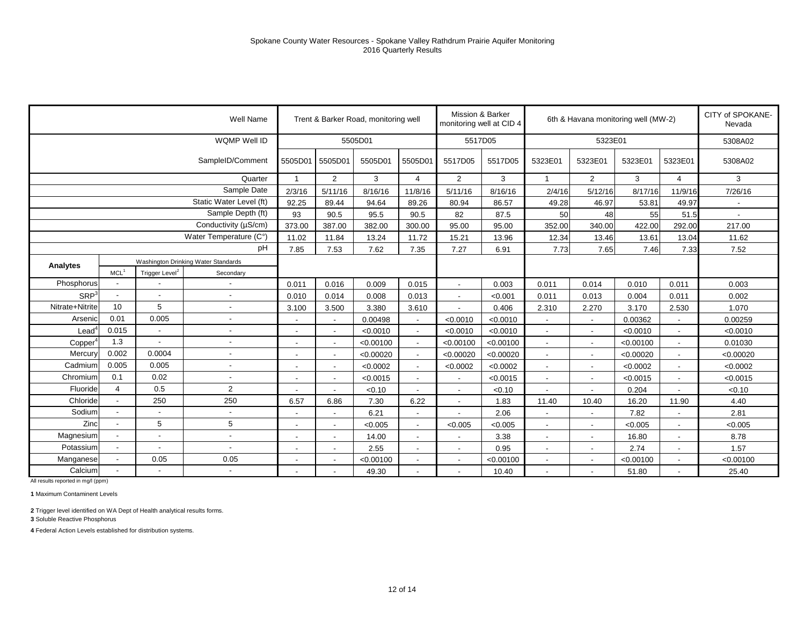|                      |                          |                            | Well Name                           |                          |                          | Trent & Barker Road, monitoring well |                          | Mission & Barker<br>monitoring well at CID 4 |           |                          |                          | 6th & Havana monitoring well (MW-2) |                          | CITY of SPOKANE-<br>Nevada |
|----------------------|--------------------------|----------------------------|-------------------------------------|--------------------------|--------------------------|--------------------------------------|--------------------------|----------------------------------------------|-----------|--------------------------|--------------------------|-------------------------------------|--------------------------|----------------------------|
|                      |                          |                            | WQMP Well ID                        |                          |                          | 5505D01                              |                          | 5517D05                                      |           |                          | 5323E01                  |                                     |                          | 5308A02                    |
|                      |                          |                            | SampleID/Comment                    | 5505D01 5505D01          |                          | 5505D01                              | 5505D01                  | 5517D05                                      | 5517D05   | 5323E01                  | 5323E01                  | 5323E01                             | 5323E01                  | 5308A02                    |
|                      |                          |                            | Quarter                             | $\overline{1}$           | $\overline{2}$           | 3                                    | 4                        | $\overline{2}$                               | 3         | $\blacktriangleleft$     | $\overline{2}$           | 3                                   | $\overline{4}$           | 3                          |
|                      |                          |                            | Sample Date                         | 2/3/16                   | 5/11/16                  | 8/16/16                              | 11/8/16                  | 5/11/16                                      | 8/16/16   | 2/4/16                   | 5/12/16                  | 8/17/16                             | 11/9/16                  | 7/26/16                    |
|                      |                          |                            | Static Water Level (ft)             | 92.25                    | 89.44                    | 94.64                                | 89.26                    | 80.94                                        | 86.57     | 49.28                    | 46.97                    | 53.81                               | 49.97                    | $\sim$                     |
|                      |                          |                            | Sample Depth (ft)                   | 93                       | 90.5                     | 95.5                                 | 90.5                     | 82                                           | 87.5      | 50                       | 48                       | 55                                  | 51.5                     |                            |
|                      |                          |                            | Conductivity (µS/cm)                | 373.00                   | 387.00                   | 382.00                               | 300.00                   | 95.00                                        | 95.00     | 352.00                   | 340.00                   | 422.00                              | 292.00                   | 217.00                     |
|                      |                          |                            | Water Temperature (C°)              | 11.02                    | 11.84                    | 13.24                                | 11.72                    | 15.21                                        | 13.96     | 12.34                    | 13.46                    | 13.61                               | 13.04                    | 11.62                      |
|                      |                          |                            | рH                                  | 7.85                     | 7.53                     | 7.62                                 | 7.35                     | 7.27                                         | 6.91      | 7.73                     | 7.65                     | 7.46                                | 7.33                     | 7.52                       |
| Analytes             |                          |                            | Washington Drinking Water Standards |                          |                          |                                      |                          |                                              |           |                          |                          |                                     |                          |                            |
|                      | MCL <sup>1</sup>         | Trigger Level <sup>2</sup> | Secondary                           |                          |                          |                                      |                          |                                              |           |                          |                          |                                     |                          |                            |
| Phosphorus           |                          |                            |                                     | 0.011                    | 0.016                    | 0.009                                | 0.015                    |                                              | 0.003     | 0.011                    | 0.014                    | 0.010                               | 0.011                    | 0.003                      |
| SRP <sup>3</sup>     |                          |                            |                                     | 0.010                    | 0.014                    | 0.008                                | 0.013                    | $\sim$                                       | < 0.001   | 0.011                    | 0.013                    | 0.004                               | 0.011                    | 0.002                      |
| Nitrate+Nitrite      | 10                       | 5                          | $\overline{\phantom{a}}$            | 3.100                    | 3.500                    | 3.380                                | 3.610                    |                                              | 0.406     | 2.310                    | 2.270                    | 3.170                               | 2.530                    | 1.070                      |
| Arsenic              | 0.01                     | 0.005                      |                                     | $\overline{\phantom{a}}$ |                          | 0.00498                              | $\blacksquare$           | < 0.0010                                     | < 0.0010  |                          | $\overline{\phantom{a}}$ | 0.00362                             |                          | 0.00259                    |
| $L$ ead <sup>4</sup> | 0.015                    |                            |                                     | $\overline{\phantom{a}}$ | $\overline{\phantom{a}}$ | < 0.0010                             |                          | < 0.0010                                     | < 0.0010  |                          |                          | < 0.0010                            |                          | < 0.0010                   |
| Copper <sup>4</sup>  | 1.3                      | $\overline{\phantom{a}}$   | $\overline{\phantom{a}}$            | $\overline{\phantom{a}}$ | $\overline{a}$           | < 0.00100                            | $\overline{a}$           | < 0.00100                                    | < 0.00100 |                          | $\sim$                   | < 0.00100                           |                          | 0.01030                    |
| Mercury              | 0.002                    | 0.0004                     |                                     | $\overline{\phantom{a}}$ | $\overline{\phantom{a}}$ | < 0.00020                            | $\overline{\phantom{a}}$ | < 0.00020                                    | < 0.00020 |                          | $\overline{\phantom{a}}$ | < 0.00020                           | $\blacksquare$           | < 0.00020                  |
| Cadmium              | 0.005                    | 0.005                      |                                     |                          | $\overline{\phantom{a}}$ | < 0.0002                             |                          | < 0.0002                                     | < 0.0002  |                          |                          | < 0.0002                            |                          | < 0.0002                   |
| Chromium             | 0.1                      | 0.02                       | $\overline{\phantom{a}}$            | $\blacksquare$           | $\overline{\phantom{a}}$ | < 0.0015                             | $\blacksquare$           | $\sim$                                       | < 0.0015  |                          | $\sim$                   | < 0.0015                            |                          | < 0.0015                   |
| Fluoride             | 4                        | 0.5                        | $\overline{2}$                      | $\blacksquare$           | $\blacksquare$           | < 0.10                               |                          | $\sim$                                       | < 0.10    |                          | $\sim$                   | 0.204                               | $\overline{\phantom{a}}$ | < 0.10                     |
| Chloride             |                          | 250                        | 250                                 | 6.57                     | 6.86                     | 7.30                                 | 6.22                     |                                              | 1.83      | 11.40                    | 10.40                    | 16.20                               | 11.90                    | 4.40                       |
| Sodium               | $\overline{\phantom{a}}$ | $\sim$                     | $\sim$                              | $\blacksquare$           | Ĭ.                       | 6.21                                 | $\overline{\phantom{a}}$ | $\overline{\phantom{a}}$                     | 2.06      |                          | $\overline{\phantom{a}}$ | 7.82                                |                          | 2.81                       |
| Zinc                 | $\overline{a}$           | 5                          | 5                                   | $\blacksquare$           | $\overline{\phantom{a}}$ | < 0.005                              | $\blacksquare$           | < 0.005                                      | < 0.005   |                          | $\overline{\phantom{a}}$ | < 0.005                             | $\blacksquare$           | < 0.005                    |
| Magnesium            |                          |                            |                                     |                          | $\overline{\phantom{a}}$ | 14.00                                |                          |                                              | 3.38      |                          |                          | 16.80                               |                          | 8.78                       |
| Potassium            | $\sim$                   | $\overline{\phantom{a}}$   |                                     | $\overline{\phantom{a}}$ | $\blacksquare$           | 2.55                                 | $\blacksquare$           | $\sim$                                       | 0.95      |                          | $\sim$                   | 2.74                                | $\blacksquare$           | 1.57                       |
| Manganese            |                          | 0.05                       | 0.05                                | $\overline{\phantom{a}}$ | $\overline{\phantom{a}}$ | < 0.00100                            | $\overline{\phantom{a}}$ |                                              | < 0.00100 | $\overline{\phantom{a}}$ | $\sim$                   | < 0.00100                           | $\overline{\phantom{a}}$ | < 0.00100                  |
| Calcium              |                          |                            |                                     |                          |                          | 49.30                                |                          |                                              | 10.40     |                          |                          | 51.80                               |                          | 25.40                      |

**1** Maximum Contaminent Levels

**2** Trigger level identified on WA Dept of Health analytical results forms.

**3** Soluble Reactive Phosphorus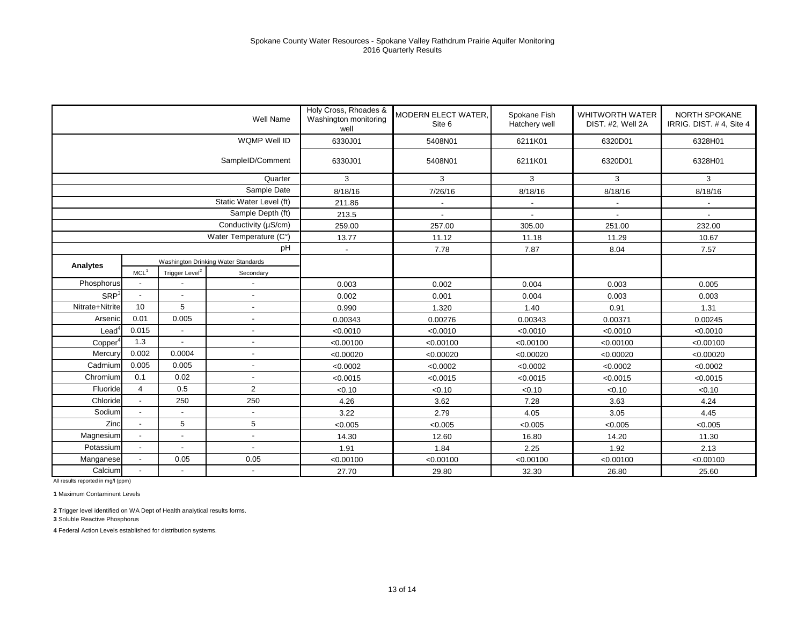|                  |                                     |                            | Well Name                | Holy Cross, Rhoades &<br>Washington monitoring<br>well | <b>MODERN ELECT WATER,</b><br>Site 6 | Spokane Fish<br>Hatchery well | <b>WHITWORTH WATER</b><br>DIST. #2, Well 2A | <b>NORTH SPOKANE</b><br>IRRIG. DIST. #4, Site 4 |  |
|------------------|-------------------------------------|----------------------------|--------------------------|--------------------------------------------------------|--------------------------------------|-------------------------------|---------------------------------------------|-------------------------------------------------|--|
|                  |                                     |                            | WQMP Well ID             | 6330J01                                                | 5408N01<br>6211K01                   |                               | 6320D01                                     | 6328H01                                         |  |
|                  |                                     |                            | SampleID/Comment         | 6330J01                                                | 5408N01<br>6211K01                   |                               | 6320D01                                     | 6328H01                                         |  |
|                  |                                     |                            | Quarter                  | 3                                                      | 3                                    | 3                             | 3                                           | 3                                               |  |
|                  |                                     |                            | Sample Date              | 8/18/16                                                | 7/26/16                              | 8/18/16<br>8/18/16            |                                             | 8/18/16                                         |  |
|                  |                                     |                            | Static Water Level (ft)  | 211.86                                                 | $\blacksquare$                       | $\blacksquare$                |                                             |                                                 |  |
|                  |                                     |                            | Sample Depth (ft)        | 213.5                                                  |                                      |                               |                                             |                                                 |  |
|                  |                                     |                            | Conductivity (µS/cm)     | 259.00                                                 | 257.00                               | 305.00                        | 251.00                                      | 232.00                                          |  |
|                  |                                     |                            | Water Temperature (C°)   | 13.77                                                  | 11.12                                | 11.18                         | 11.29                                       | 10.67                                           |  |
|                  |                                     |                            | pH                       | $\overline{\phantom{a}}$                               | 7.78                                 | 7.87                          | 8.04                                        | 7.57                                            |  |
| Analytes         | Washington Drinking Water Standards |                            |                          |                                                        |                                      |                               |                                             |                                                 |  |
|                  | MCL <sup>1</sup>                    | Trigger Level <sup>2</sup> | Secondary                |                                                        |                                      |                               |                                             |                                                 |  |
| Phosphorus       |                                     |                            |                          | 0.003                                                  | 0.002                                | 0.004                         | 0.003                                       | 0.005                                           |  |
| SRP <sup>3</sup> | $\overline{\phantom{a}}$            | $\blacksquare$             | $\blacksquare$           | 0.002                                                  | 0.001                                | 0.004                         | 0.003                                       | 0.003                                           |  |
| Nitrate+Nitrite  | 10                                  | 5                          |                          | 0.990                                                  | 1.320                                | 1.40                          | 0.91                                        | 1.31                                            |  |
| Arsenic          | 0.01                                | 0.005                      |                          | 0.00343                                                | 0.00276                              | 0.00343                       | 0.00371                                     | 0.00245                                         |  |
| $\text{Lead}^4$  | 0.015                               |                            | $\blacksquare$           | < 0.0010                                               | < 0.0010                             | < 0.0010                      | < 0.0010                                    | < 0.0010                                        |  |
| Copper           | 1.3                                 | $\overline{a}$             |                          | < 0.00100                                              | < 0.00100                            | < 0.00100                     | < 0.00100                                   | < 0.00100                                       |  |
| Mercury          | 0.002                               | 0.0004                     | $\overline{a}$           | < 0.00020                                              | < 0.00020                            | < 0.00020                     | < 0.00020                                   | < 0.00020                                       |  |
| Cadmium          | 0.005                               | 0.005                      | $\overline{a}$           | < 0.0002                                               | < 0.0002                             | < 0.0002                      | < 0.0002                                    | < 0.0002                                        |  |
| Chromium         | 0.1                                 | 0.02                       | $\overline{\phantom{a}}$ | < 0.0015                                               | < 0.0015                             | < 0.0015                      | < 0.0015                                    | < 0.0015                                        |  |
| Fluoride         | $\overline{4}$                      | 0.5                        | 2                        | < 0.10                                                 | < 0.10                               | < 0.10                        | < 0.10                                      | < 0.10                                          |  |
| Chloride         |                                     | 250                        | 250                      | 4.26                                                   | 3.62                                 | 7.28                          | 3.63                                        | 4.24                                            |  |
| Sodium           | $\overline{\phantom{a}}$            |                            |                          | 3.22                                                   | 2.79                                 | 4.05                          | 3.05                                        | 4.45                                            |  |
| Zinc             |                                     | 5                          | 5                        | < 0.005                                                | < 0.005                              | < 0.005                       | < 0.005                                     | < 0.005                                         |  |
| Magnesium        | $\overline{\phantom{a}}$            | $\overline{\phantom{a}}$   | $\overline{\phantom{a}}$ | 14.30                                                  | 12.60                                | 16.80                         | 14.20                                       | 11.30                                           |  |
| Potassium        | $\overline{a}$                      |                            |                          | 1.91                                                   | 1.84                                 | 2.25                          | 1.92                                        | 2.13                                            |  |
| Manganese        |                                     | 0.05                       | 0.05                     | < 0.00100                                              | < 0.00100                            | < 0.00100                     | < 0.00100                                   | < 0.00100                                       |  |
| Calcium          | $\blacksquare$<br>$\blacksquare$    |                            | 27.70                    | 29.80                                                  | 32.30                                | 26.80                         | 25.60                                       |                                                 |  |

**1** Maximum Contaminent Levels

**2** Trigger level identified on WA Dept of Health analytical results forms.

**3** Soluble Reactive Phosphorus